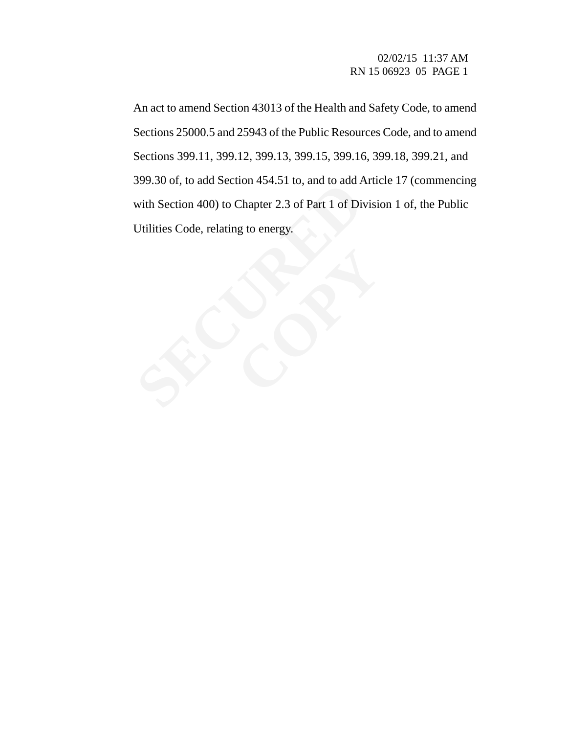S99.50 Or, to add section 454.51 to, and to add A<br>with Section 400) to Chapter 2.3 of Part 1 of Div<br>Utilities Code, relating to energy. An act to amend Section 43013 of the Health and Safety Code, to amend Sections 25000.5 and 25943 of the Public Resources Code, and to amend Sections 399.11, 399.12, 399.13, 399.15, 399.16, 399.18, 399.21, and 399.30 of, to add Section 454.51 to, and to add Article 17 (commencing with Section 400) to Chapter 2.3 of Part 1 of Division 1 of, the Public Utilities Code, relating to energy.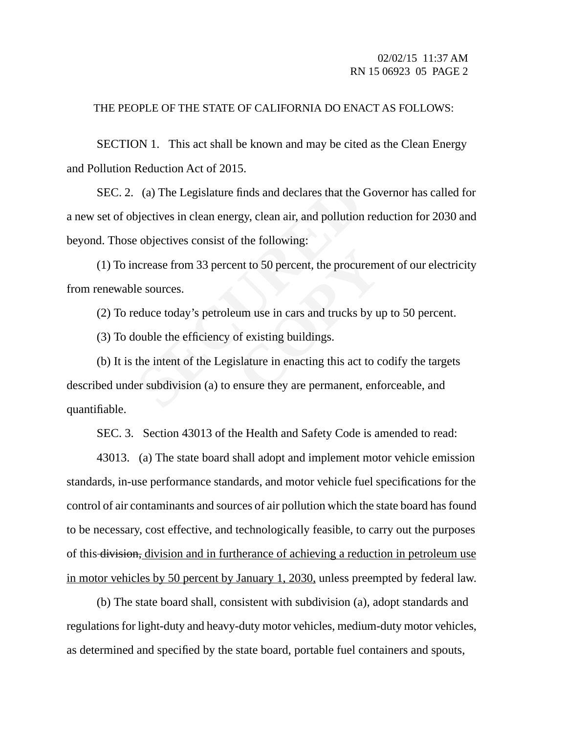## THE PEOPLE OF THE STATE OF CALIFORNIA DO ENACT AS FOLLOWS:

SECTION 1. This act shall be known and may be cited as the Clean Energy and Pollution Reduction Act of 2015.

(a) The Legislature finds and declares that the vertical opjectives in clean energy, clean air, and pollution e objectives consist of the following:<br>
ncrease from 33 percent to 50 percent, the procur<br>
le sources.<br>
educe to SEC. 2. (a) The Legislature finds and declares that the Governor has called for a new set of objectives in clean energy, clean air, and pollution reduction for 2030 and beyond. Those objectives consist of the following:

(1) To increase from 33 percent to 50 percent, the procurement of our electricity from renewable sources.

(2) To reduce today's petroleum use in cars and trucks by up to 50 percent.

(3) To double the efficiency of existing buildings.

ent to 50 percent, the procurement<br>
um use in cars and trucks by use of existing buildings.<br>
Slature in enacting this act to compute they are permanent, enfor (b) It is the intent of the Legislature in enacting this act to codify the targets described under subdivision (a) to ensure they are permanent, enforceable, and quantifiable.

SEC. 3. Section 43013 of the Health and Safety Code is amended to read:

43013. (a) The state board shall adopt and implement motor vehicle emission standards, in-use performance standards, and motor vehicle fuel specifications for the control of air contaminants and sources of air pollution which the state board has found to be necessary, cost effective, and technologically feasible, to carry out the purposes of this division, division and in furtherance of achieving a reduction in petroleum use in motor vehicles by 50 percent by January 1, 2030, unless preempted by federal law.

(b) The state board shall, consistent with subdivision (a), adopt standards and regulations for light-duty and heavy-duty motor vehicles, medium-duty motor vehicles, as determined and specified by the state board, portable fuel containers and spouts,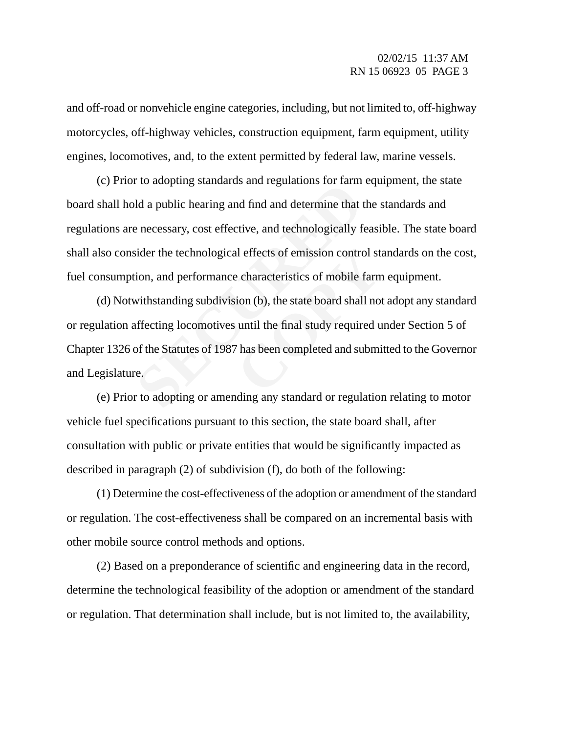and off-road or nonvehicle engine categories, including, but not limited to, off-highway motorcycles, off-highway vehicles, construction equipment, farm equipment, utility engines, locomotives, and, to the extent permitted by federal law, marine vessels.

The adopting standards and regulations for farm<br>Id a public hearing and find and determine that the<br>Precessary, cost effective, and technologically fields<br>ider the technological effects of emission control<br>ion, and perform (c) Prior to adopting standards and regulations for farm equipment, the state board shall hold a public hearing and find and determine that the standards and regulations are necessary, cost effective, and technologically feasible. The state board shall also consider the technological effects of emission control standards on the cost, fuel consumption, and performance characteristics of mobile farm equipment.

al effects of emission control st<br>
e characteristics of mobile farm<br>
ion (b), the state board shall no<br>
until the final study required u<br>
<sup>7</sup> has been completed and submi (d) Notwithstanding subdivision (b), the state board shall not adopt any standard or regulation affecting locomotives until the final study required under Section 5 of Chapter 1326 of the Statutes of 1987 has been completed and submitted to the Governor and Legislature.

(e) Prior to adopting or amending any standard or regulation relating to motor vehicle fuel specifications pursuant to this section, the state board shall, after consultation with public or private entities that would be significantly impacted as described in paragraph (2) of subdivision (f), do both of the following:

(1) Determine the cost-effectiveness of the adoption or amendment of the standard or regulation. The cost-effectiveness shall be compared on an incremental basis with other mobile source control methods and options.

(2) Based on a preponderance of scientific and engineering data in the record, determine the technological feasibility of the adoption or amendment of the standard or regulation. That determination shall include, but is not limited to, the availability,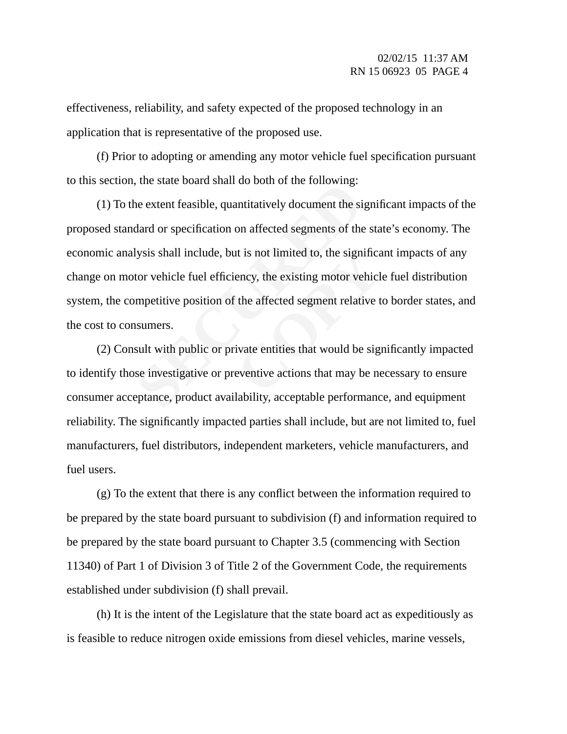effectiveness, reliability, and safety expected of the proposed technology in an application that is representative of the proposed use.

(f) Prior to adopting or amending any motor vehicle fuel specification pursuant to this section, the state board shall do both of the following:

the state board shall do both of the following.<br>
The extent feasible, quantitatively document the si<br>
dard or specification on affected segments of the<br>
lysis shall include, but is not limited to, the sign<br>
tor vehicle fue It is not limited to, the signification<br>
ency, the existing motor vehicl<br>
The affected segment relative the affected segment relative<br>
ivate entities that would be signeventive actions that may be not (1) To the extent feasible, quantitatively document the significant impacts of the proposed standard or specification on affected segments of the state's economy. The economic analysis shall include, but is not limited to, the significant impacts of any change on motor vehicle fuel efficiency, the existing motor vehicle fuel distribution system, the competitive position of the affected segment relative to border states, and the cost to consumers.

(2) Consult with public or private entities that would be significantly impacted to identify those investigative or preventive actions that may be necessary to ensure consumer acceptance, product availability, acceptable performance, and equipment reliability. The significantly impacted parties shall include, but are not limited to, fuel manufacturers, fuel distributors, independent marketers, vehicle manufacturers, and fuel users.

(g) To the extent that there is any conflict between the information required to be prepared by the state board pursuant to subdivision (f) and information required to be prepared by the state board pursuant to Chapter 3.5 (commencing with Section 11340) of Part 1 of Division 3 of Title 2 of the Government Code, the requirements established under subdivision (f) shall prevail.

(h) It is the intent of the Legislature that the state board act as expeditiously as is feasible to reduce nitrogen oxide emissions from diesel vehicles, marine vessels,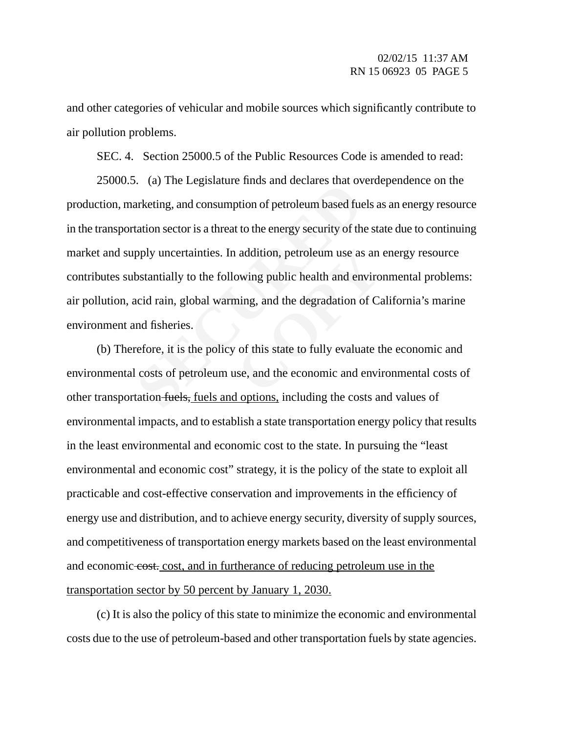and other categories of vehicular and mobile sources which significantly contribute to air pollution problems.

SEC. 4. Section 25000.5 of the Public Resources Code is amended to read:

(a) The Legislature mus and declares that over<br>arketing, and consumption of petroleum based fue<br>tation sector is a threat to the energy security of th<br>pply uncertainties. In addition, petroleum use as<br>bstantially to the fo addition, petroleum use as an owing public health and enviro<br>ming, and the degradation of Canadian of Canadian of Canadian of Canadian of Canadian state to fully evaluate the seconomic and environ-25000.5. (a) The Legislature finds and declares that overdependence on the production, marketing, and consumption of petroleum based fuels as an energy resource in the transportation sector is a threat to the energy security of the state due to continuing market and supply uncertainties. In addition, petroleum use as an energy resource contributes substantially to the following public health and environmental problems: air pollution, acid rain, global warming, and the degradation of California's marine environment and fisheries.

(b) Therefore, it is the policy of this state to fully evaluate the economic and environmental costs of petroleum use, and the economic and environmental costs of other transportation fuels, fuels and options, including the costs and values of environmental impacts, and to establish a state transportation energy policy that results in the least environmental and economic cost to the state. In pursuing the "least environmental and economic cost" strategy, it is the policy of the state to exploit all practicable and cost-effective conservation and improvements in the efficiency of energy use and distribution, and to achieve energy security, diversity of supply sources, and competitiveness of transportation energy markets based on the least environmental and economic cost, cost, and in furtherance of reducing petroleum use in the transportation sector by 50 percent by January 1, 2030.

(c) It is also the policy of this state to minimize the economic and environmental costs due to the use of petroleum-based and other transportation fuels by state agencies.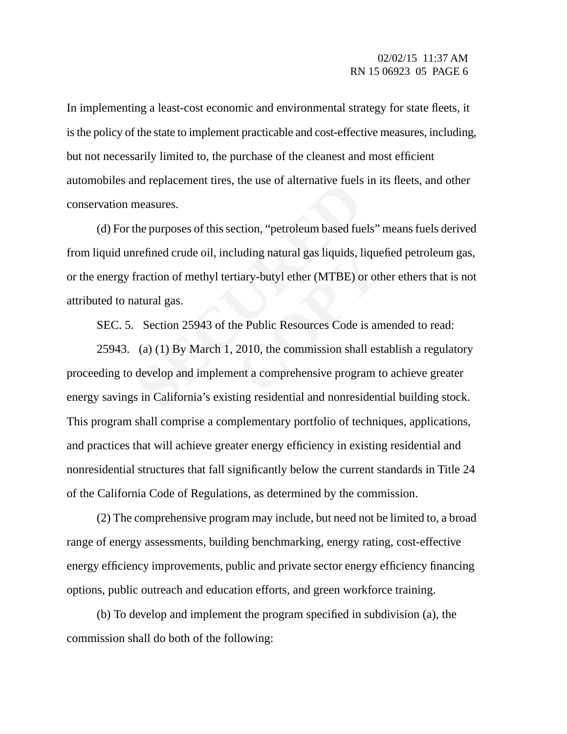In implementing a least-cost economic and environmental strategy for state fleets, it is the policy of the state to implement practicable and cost-effective measures, including, but not necessarily limited to, the purchase of the cleanest and most efficient automobiles and replacement tires, the use of alternative fuels in its fleets, and other conservation measures.

Independent thes, the use of anternative fuers<br>
measures.<br>
the purposes of this section, "petroleum based fuerefined crude oil, including natural gas liquids, l<br>
fraction of methyl tertiary-butyl ether (MTBE) o<br>
atural gas Iuding natural gas liquids, lique<br>
tiary-butyl ether (MTBE) or otletiary-butyl ether (MTBE) or otletiary<br>
are Public Resources Code is an<br>
2010, the commission shall est<br>
ent a comprehensive program t (d) For the purposes of this section, "petroleum based fuels" means fuels derived from liquid unrefined crude oil, including natural gas liquids, liquefied petroleum gas, or the energy fraction of methyl tertiary-butyl ether (MTBE) or other ethers that is not attributed to natural gas.

SEC. 5. Section 25943 of the Public Resources Code is amended to read:

25943. (a) (1) By March 1, 2010, the commission shall establish a regulatory proceeding to develop and implement a comprehensive program to achieve greater energy savings in California's existing residential and nonresidential building stock. This program shall comprise a complementary portfolio of techniques, applications, and practices that will achieve greater energy efficiency in existing residential and nonresidential structures that fall significantly below the current standards in Title 24 of the California Code of Regulations, as determined by the commission.

(2) The comprehensive program may include, but need not be limited to, a broad range of energy assessments, building benchmarking, energy rating, cost-effective energy efficiency improvements, public and private sector energy efficiency financing options, public outreach and education efforts, and green workforce training.

(b) To develop and implement the program specified in subdivision (a), the commission shall do both of the following: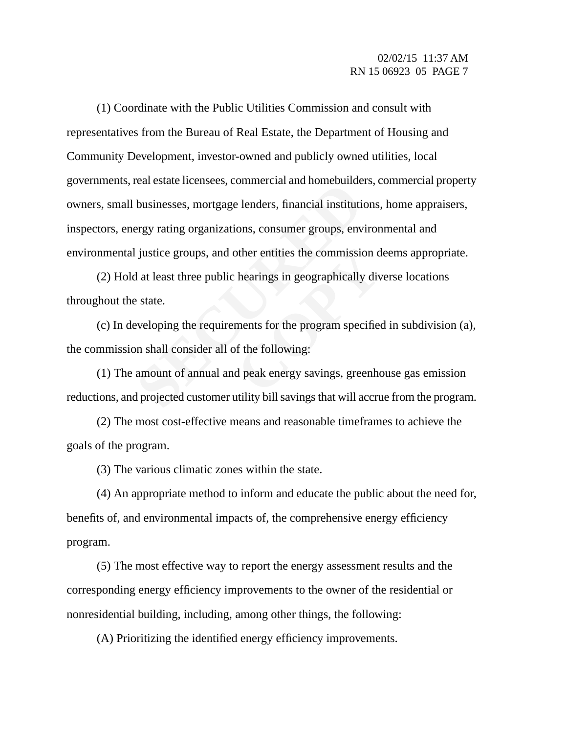Frances Examples University commercial and nonebunder<br>
businesses, mortgage lenders, financial institution<br>
Frances University rating organizations, consumer groups, env<br>
l justice groups, and other entities the commissic<br> (1) Coordinate with the Public Utilities Commission and consult with representatives from the Bureau of Real Estate, the Department of Housing and Community Development, investor-owned and publicly owned utilities, local governments, real estate licensees, commercial and homebuilders, commercial property owners, small businesses, mortgage lenders, financial institutions, home appraisers, inspectors, energy rating organizations, consumer groups, environmental and environmental justice groups, and other entities the commission deems appropriate.

other entities the commission d<br>hearings in geographically div<br>ments for the program specified<br>of the following:<br>d peak energy savings, greenhot (2) Hold at least three public hearings in geographically diverse locations throughout the state.

(c) In developing the requirements for the program specified in subdivision (a), the commission shall consider all of the following:

(1) The amount of annual and peak energy savings, greenhouse gas emission reductions, and projected customer utility bill savings that will accrue from the program.

(2) The most cost-effective means and reasonable timeframes to achieve the goals of the program.

(3) The various climatic zones within the state.

(4) An appropriate method to inform and educate the public about the need for, benefits of, and environmental impacts of, the comprehensive energy efficiency program.

(5) The most effective way to report the energy assessment results and the corresponding energy efficiency improvements to the owner of the residential or nonresidential building, including, among other things, the following:

(A) Prioritizing the identified energy efficiency improvements.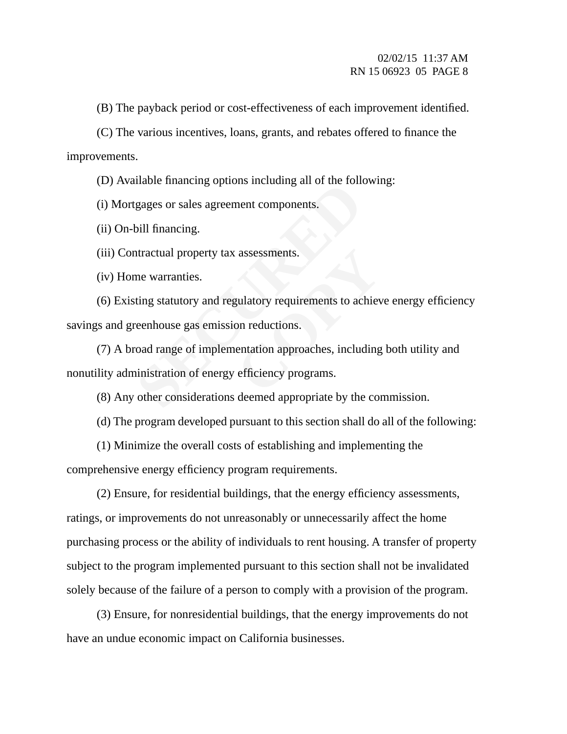(B) The payback period or cost-effectiveness of each improvement identified.

(C) The various incentives, loans, grants, and rebates offered to finance the improvements.

(D) Available financing options including all of the following:

(i) Mortgages or sales agreement components.

(ii) On-bill financing.

(iii) Contractual property tax assessments.

(iv) Home warranties.

(6) Existing statutory and regulatory requirements to achieve energy efficiency savings and greenhouse gas emission reductions.

mable miancing options including an of the fond<br>gages or sales agreement components.<br>bill financing.<br>tractual property tax assessments.<br>me warranties.<br>ting statutory and regulatory requirements to ac<br>reenhouse gas emission assessments.<br>
gulatory requirements to achiev<br>
on reductions.<br>
entation approaches, including<br>
efficiency programs. (7) A broad range of implementation approaches, including both utility and nonutility administration of energy efficiency programs.

(8) Any other considerations deemed appropriate by the commission.

(d) The program developed pursuant to this section shall do all of the following:

(1) Minimize the overall costs of establishing and implementing the comprehensive energy efficiency program requirements.

(2) Ensure, for residential buildings, that the energy efficiency assessments, ratings, or improvements do not unreasonably or unnecessarily affect the home purchasing process or the ability of individuals to rent housing. A transfer of property subject to the program implemented pursuant to this section shall not be invalidated solely because of the failure of a person to comply with a provision of the program.

(3) Ensure, for nonresidential buildings, that the energy improvements do not have an undue economic impact on California businesses.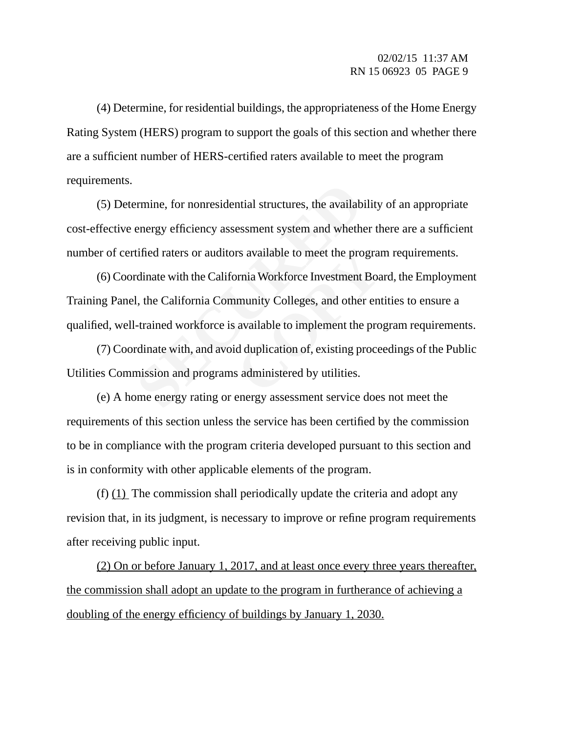(4) Determine, for residential buildings, the appropriateness of the Home Energy Rating System (HERS) program to support the goals of this section and whether there are a sufficient number of HERS-certified raters available to meet the program requirements.

(5) Determine, for nonresidential structures, the availability of an appropriate cost-effective energy efficiency assessment system and whether there are a sufficient number of certified raters or auditors available to meet the program requirements.

Example, for nonresidential structures, the availab<br>
energy efficiency assessment system and wheth<br>
tified raters or auditors available to meet the pro<br>
rdinate with the California Workforce Investment<br>
1, the California C rs available to meet the program<br>
principal Workforce Investment Boam<br>
munity Colleges, and other ent<br>
available to implement the pro<br>
d duplication of, existing proce<br>
s administered by utilities. (6) Coordinate with the California Workforce Investment Board, the Employment Training Panel, the California Community Colleges, and other entities to ensure a qualified, well-trained workforce is available to implement the program requirements.

(7) Coordinate with, and avoid duplication of, existing proceedings of the Public Utilities Commission and programs administered by utilities.

(e) A home energy rating or energy assessment service does not meet the requirements of this section unless the service has been certified by the commission to be in compliance with the program criteria developed pursuant to this section and is in conformity with other applicable elements of the program.

(f)  $(1)$  The commission shall periodically update the criteria and adopt any revision that, in its judgment, is necessary to improve or refine program requirements after receiving public input.

(2) On or before January 1, 2017, and at least once every three years thereafter, the commission shall adopt an update to the program in furtherance of achieving a doubling of the energy efficiency of buildings by January 1, 2030.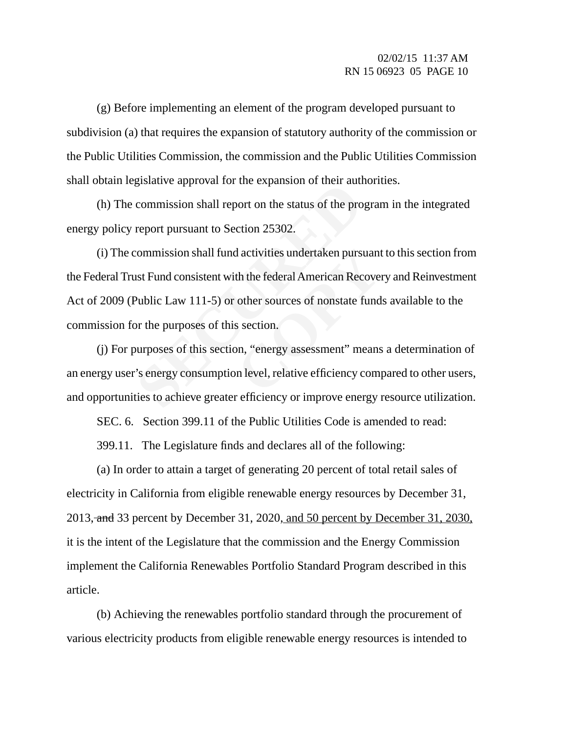(g) Before implementing an element of the program developed pursuant to subdivision (a) that requires the expansion of statutory authority of the commission or the Public Utilities Commission, the commission and the Public Utilities Commission shall obtain legislative approval for the expansion of their authorities.

(h) The commission shall report on the status of the program in the integrated energy policy report pursuant to Section 25302.

gislative approval for the expansion of their aution<br>commission shall report on the status of the pro-<br>report pursuant to Section 25302.<br>commission shall fund activities undertaken pursus<br>st Fund consistent with the federa d activities undertaken pursuant<br>th the federal American Recover<br>other sources of nonstate fund<br>s section.<br>pn, "energy assessment" means<br>n level, relative efficiency comp (i) The commission shall fund activities undertaken pursuant to this section from the Federal Trust Fund consistent with the federal American Recovery and Reinvestment Act of 2009 (Public Law 111-5) or other sources of nonstate funds available to the commission for the purposes of this section.

(j) For purposes of this section, "energy assessment" means a determination of an energy user's energy consumption level, relative efficiency compared to other users, and opportunities to achieve greater efficiency or improve energy resource utilization.

SEC. 6. Section 399.11 of the Public Utilities Code is amended to read:

399.11. The Legislature finds and declares all of the following:

(a) In order to attain a target of generating 20 percent of total retail sales of electricity in California from eligible renewable energy resources by December 31, 2013, and 33 percent by December 31, 2020, and 50 percent by December 31, 2030, it is the intent of the Legislature that the commission and the Energy Commission implement the California Renewables Portfolio Standard Program described in this article.

(b) Achieving the renewables portfolio standard through the procurement of various electricity products from eligible renewable energy resources is intended to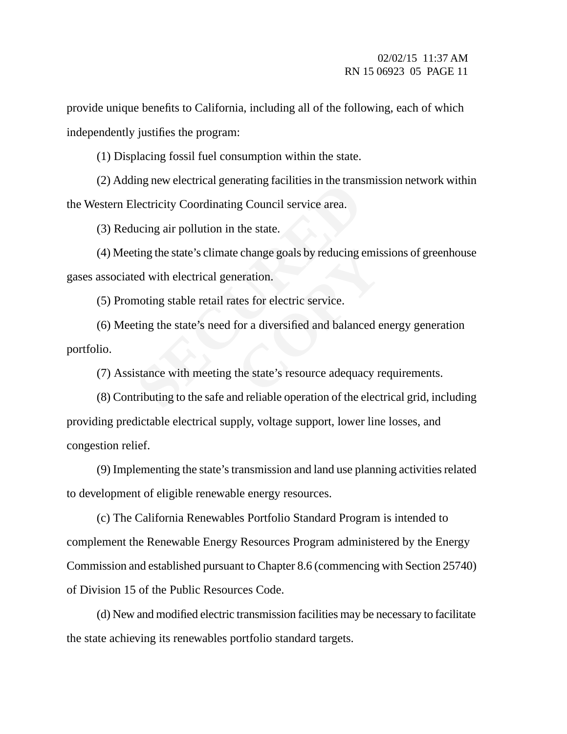provide unique benefits to California, including all of the following, each of which independently justifies the program:

(1) Displacing fossil fuel consumption within the state.

(2) Adding new electrical generating facilities in the transmission network within the Western Electricity Coordinating Council service area.

(3) Reducing air pollution in the state.

Ing new electrical generating factrices in the transfectricity Coordinating Council service area.<br>
ucing air pollution in the state.<br>
ting the state's climate change goals by reducing e<br>
ed with electrical generation.<br>
mot Example goals by reducing emistion.<br> **COPY EXECUTE:**<br> **COPY EXECUTE:**<br> **COPY EXECUTE:**<br> **COPY EXECUTE:**<br> **COPY EXECUTE:**<br> **COPY EXECUTE:**<br> **COPY EXECUTE:** (4) Meeting the state's climate change goals by reducing emissions of greenhouse gases associated with electrical generation.

(5) Promoting stable retail rates for electric service.

(6) Meeting the state's need for a diversified and balanced energy generation portfolio.

(7) Assistance with meeting the state's resource adequacy requirements.

(8) Contributing to the safe and reliable operation of the electrical grid, including providing predictable electrical supply, voltage support, lower line losses, and congestion relief.

(9) Implementing the state's transmission and land use planning activities related to development of eligible renewable energy resources.

(c) The California Renewables Portfolio Standard Program is intended to complement the Renewable Energy Resources Program administered by the Energy Commission and established pursuant to Chapter 8.6 (commencing with Section 25740) of Division 15 of the Public Resources Code.

(d) New and modified electric transmission facilities may be necessary to facilitate the state achieving its renewables portfolio standard targets.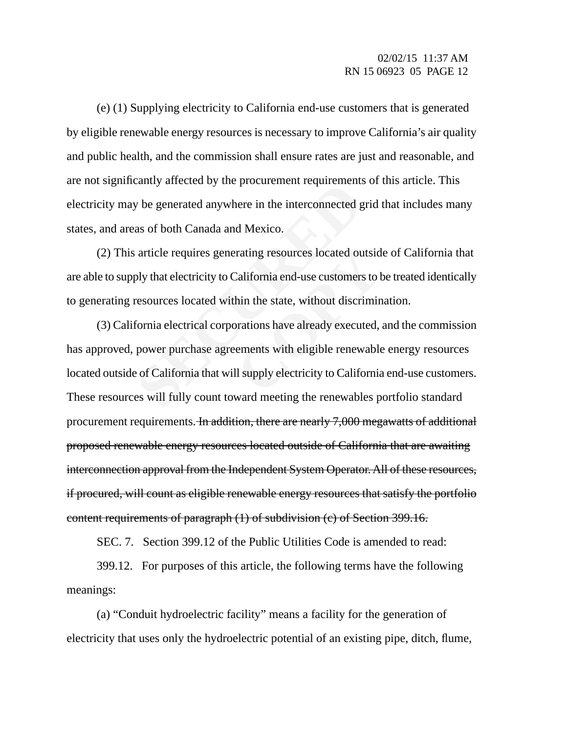(e) (1) Supplying electricity to California end-use customers that is generated by eligible renewable energy resources is necessary to improve California's air quality and public health, and the commission shall ensure rates are just and reasonable, and are not significantly affected by the procurement requirements of this article. This electricity may be generated anywhere in the interconnected grid that includes many states, and areas of both Canada and Mexico.

(2) This article requires generating resources located outside of California that are able to supply that electricity to California end-use customers to be treated identically to generating resources located within the state, without discrimination.

Example 18 year the procurement requirements<br>y be generated anywhere in the interconnected g<br>as of both Canada and Mexico.<br>article requires generating resources located ou<br>ply that electricity to California end-use custome rating resources located outsid<br>California end-use customers to l<br>hin the state, without discrimin<br>prations have already executed,<br>ements with eligible renewable<br>Il supply electricity to California (3) California electrical corporations have already executed, and the commission has approved, power purchase agreements with eligible renewable energy resources located outside of California that will supply electricity to California end-use customers. These resources will fully count toward meeting the renewables portfolio standard procurement requirements. In addition, there are nearly 7,000 megawatts of additional proposed renewable energy resources located outside of California that are awaiting interconnection approval from the Independent System Operator. All of these resources, if procured, will count as eligible renewable energy resources that satisfy the portfolio content requirements of paragraph (1) of subdivision (c) of Section 399.16.

SEC. 7. Section 399.12 of the Public Utilities Code is amended to read:

399.12. For purposes of this article, the following terms have the following meanings:

(a) "Conduit hydroelectric facility" means a facility for the generation of electricity that uses only the hydroelectric potential of an existing pipe, ditch, flume,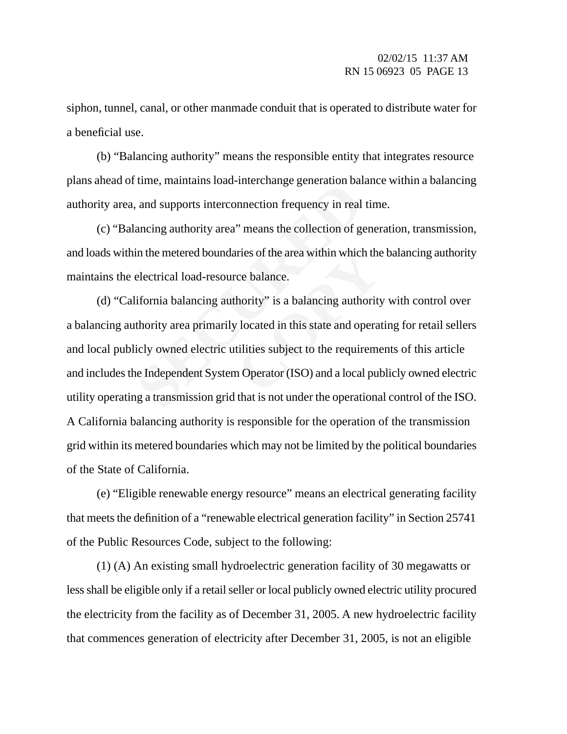siphon, tunnel, canal, or other manmade conduit that is operated to distribute water for a beneficial use.

(b) "Balancing authority" means the responsible entity that integrates resource plans ahead of time, maintains load-interchange generation balance within a balancing authority area, and supports interconnection frequency in real time.

(c) "Balancing authority area" means the collection of generation, transmission, and loads within the metered boundaries of the area within which the balancing authority maintains the electrical load-resource balance.

Ime, manufallity area<sup>1</sup> means the collection of a<br>ancing authority area<sup>3</sup> means the collection of go<br>in the metered boundaries of the area within which<br>electrical load-resource balance.<br>lifornia balancing authority" is a parties of the area within which the<br>
ce balance.<br>
hority" is a balancing authority<br>
v located in this state and operat<br>
tilities subject to the requiremen<br>
m Operator (ISO) and a local put (d) "California balancing authority" is a balancing authority with control over a balancing authority area primarily located in this state and operating for retail sellers and local publicly owned electric utilities subject to the requirements of this article and includes the Independent System Operator (ISO) and a local publicly owned electric utility operating a transmission grid that is not under the operational control of the ISO. A California balancing authority is responsible for the operation of the transmission grid within its metered boundaries which may not be limited by the political boundaries of the State of California.

(e) "Eligible renewable energy resource" means an electrical generating facility that meets the definition of a "renewable electrical generation facility" in Section 25741 of the Public Resources Code, subject to the following:

(1) (A) An existing small hydroelectric generation facility of 30 megawatts or less shall be eligible only if a retail seller or local publicly owned electric utility procured the electricity from the facility as of December 31, 2005. A new hydroelectric facility that commences generation of electricity after December 31, 2005, is not an eligible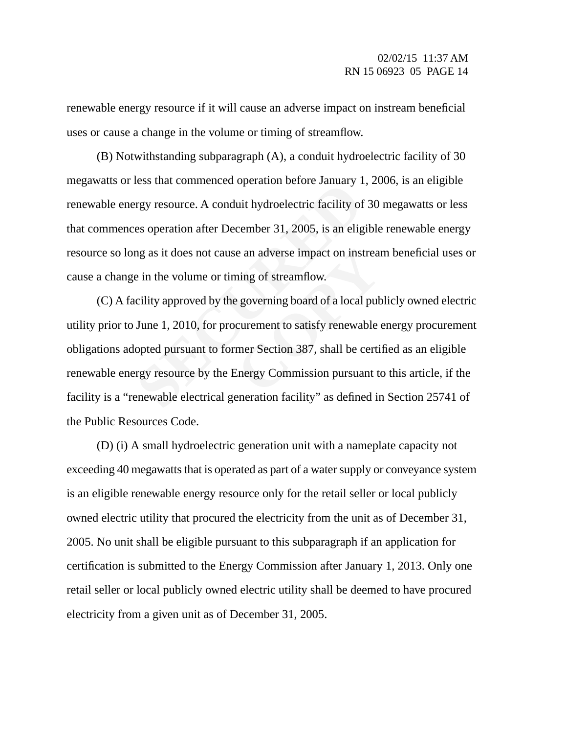renewable energy resource if it will cause an adverse impact on instream beneficial uses or cause a change in the volume or timing of streamflow.

(B) Notwithstanding subparagraph (A), a conduit hydroelectric facility of 30 megawatts or less that commenced operation before January 1, 2006, is an eligible renewable energy resource. A conduit hydroelectric facility of 30 megawatts or less that commences operation after December 31, 2005, is an eligible renewable energy resource so long as it does not cause an adverse impact on instream beneficial uses or cause a change in the volume or timing of streamflow.

regy resource. A conduit hydroelectric facility of<br>regy resource. A conduit hydroelectric facility of<br>es operation after December 31, 2005, is an elig<br>ng as it does not cause an adverse impact on inst<br>e in the volume or ti e an adverse impact on instream<br>
ming of streamflow.<br>
Exercise governing board of a local pub<br>
curement to satisfy renewable<br>
mer Section 387, shall be certi<br>
Energy Commission pursuant to (C) A facility approved by the governing board of a local publicly owned electric utility prior to June 1, 2010, for procurement to satisfy renewable energy procurement obligations adopted pursuant to former Section 387, shall be certified as an eligible renewable energy resource by the Energy Commission pursuant to this article, if the facility is a "renewable electrical generation facility" as defined in Section 25741 of the Public Resources Code.

(D) (i) A small hydroelectric generation unit with a nameplate capacity not exceeding 40 megawatts that is operated as part of a water supply or conveyance system is an eligible renewable energy resource only for the retail seller or local publicly owned electric utility that procured the electricity from the unit as of December 31, 2005. No unit shall be eligible pursuant to this subparagraph if an application for certification is submitted to the Energy Commission after January 1, 2013. Only one retail seller or local publicly owned electric utility shall be deemed to have procured electricity from a given unit as of December 31, 2005.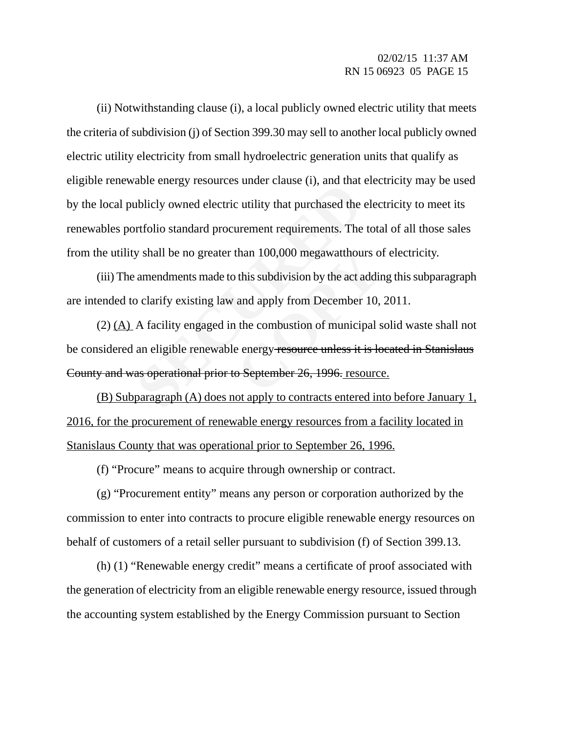ablicly owned electric utility that purchased the utibicly owned electric utility that purchased the urtfolio standard procurement requirements. The y shall be no greater than 100,000 megawatthou amendments made to this su (ii) Notwithstanding clause (i), a local publicly owned electric utility that meets the criteria of subdivision (j) of Section 399.30 may sell to another local publicly owned electric utility electricity from small hydroelectric generation units that qualify as eligible renewable energy resources under clause (i), and that electricity may be used by the local publicly owned electric utility that purchased the electricity to meet its renewables portfolio standard procurement requirements. The total of all those sales from the utility shall be no greater than 100,000 megawatthours of electricity.

(iii) The amendments made to this subdivision by the act adding this subparagraph are intended to clarify existing law and apply from December 10, 2011.

than 100,000 megawatthours of<br>this subdivision by the act addit<br>and apply from December 10,<br>the combustion of municipal s<br>e energy resource unless it is less of September 26, 1996. resource (2) (A) A facility engaged in the combustion of municipal solid waste shall not be considered an eligible renewable energy resource unless it is located in Stanislaus County and was operational prior to September 26, 1996. resource.

(B) Subparagraph (A) does not apply to contracts entered into before January 1, 2016, for the procurement of renewable energy resources from a facility located in Stanislaus County that was operational prior to September 26, 1996.

(f) "Procure" means to acquire through ownership or contract.

(g) "Procurement entity" means any person or corporation authorized by the commission to enter into contracts to procure eligible renewable energy resources on behalf of customers of a retail seller pursuant to subdivision (f) of Section 399.13.

(h) (1) "Renewable energy credit" means a certificate of proof associated with the generation of electricity from an eligible renewable energy resource, issued through the accounting system established by the Energy Commission pursuant to Section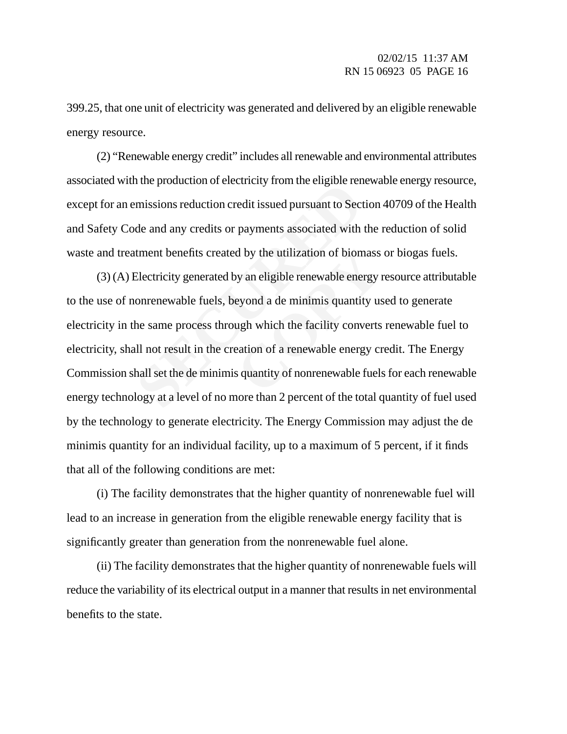399.25, that one unit of electricity was generated and delivered by an eligible renewable energy resource.

(2) "Renewable energy credit" includes all renewable and environmental attributes associated with the production of electricity from the eligible renewable energy resource, except for an emissions reduction credit issued pursuant to Section 40709 of the Health and Safety Code and any credits or payments associated with the reduction of solid waste and treatment benefits created by the utilization of biomass or biogas fuels.

The production of electricity from the engible felt<br>set the and any credits or payments associated with<br>timent benefits created by the utilization of biom<br>Electricity generated by an eligible renewable ener<br>onrenewable fue d by the utilization of biomass<br>by an eligible renewable energy if<br>eyond a de minimis quantity us<br>ugh which the facility converts<br>eation of a renewable energy cr<br>s quantity of nonrenewable fuels (3) (A) Electricity generated by an eligible renewable energy resource attributable to the use of nonrenewable fuels, beyond a de minimis quantity used to generate electricity in the same process through which the facility converts renewable fuel to electricity, shall not result in the creation of a renewable energy credit. The Energy Commission shall set the de minimis quantity of nonrenewable fuels for each renewable energy technology at a level of no more than 2 percent of the total quantity of fuel used by the technology to generate electricity. The Energy Commission may adjust the de minimis quantity for an individual facility, up to a maximum of 5 percent, if it finds that all of the following conditions are met:

(i) The facility demonstrates that the higher quantity of nonrenewable fuel will lead to an increase in generation from the eligible renewable energy facility that is significantly greater than generation from the nonrenewable fuel alone.

(ii) The facility demonstrates that the higher quantity of nonrenewable fuels will reduce the variability of its electrical output in a manner that results in net environmental benefits to the state.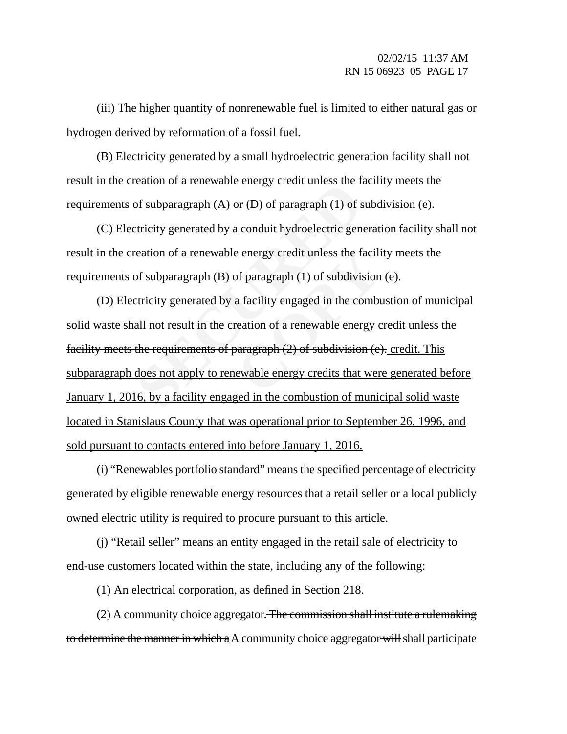(iii) The higher quantity of nonrenewable fuel is limited to either natural gas or hydrogen derived by reformation of a fossil fuel.

(B) Electricity generated by a small hydroelectric generation facility shall not result in the creation of a renewable energy credit unless the facility meets the requirements of subparagraph (A) or (D) of paragraph (1) of subdivision (e).

(C) Electricity generated by a conduit hydroelectric generation facility shall not result in the creation of a renewable energy credit unless the facility meets the requirements of subparagraph (B) of paragraph (1) of subdivision (e).

eation of a renewable energy credit unless the radion of a renewable energy credit unless the radion of a renewable energy credit unless the fact that the form of a renewable energy credit unless the factor of subparagraph e energy credit unless the facili<br>
of paragraph (1) of subdivision<br>
a facility engaged in the comb<br>
ceation of a renewable energy entergy<br>
contained the comparagraph (2) of subdivision (e)<br>
ewable energy credits that wer (D) Electricity generated by a facility engaged in the combustion of municipal solid waste shall not result in the creation of a renewable energy-eredit unless the facility meets the requirements of paragraph (2) of subdivision (e). credit. This subparagraph does not apply to renewable energy credits that were generated before January 1, 2016, by a facility engaged in the combustion of municipal solid waste located in Stanislaus County that was operational prior to September 26, 1996, and sold pursuant to contacts entered into before January 1, 2016.

(i) "Renewables portfolio standard" means the specified percentage of electricity generated by eligible renewable energy resources that a retail seller or a local publicly owned electric utility is required to procure pursuant to this article.

(j) "Retail seller" means an entity engaged in the retail sale of electricity to end-use customers located within the state, including any of the following:

(1) An electrical corporation, as defined in Section 218.

(2) A community choice aggregator. The commission shall institute a rulemaking to determine the manner in which a A community choice aggregator will shall participate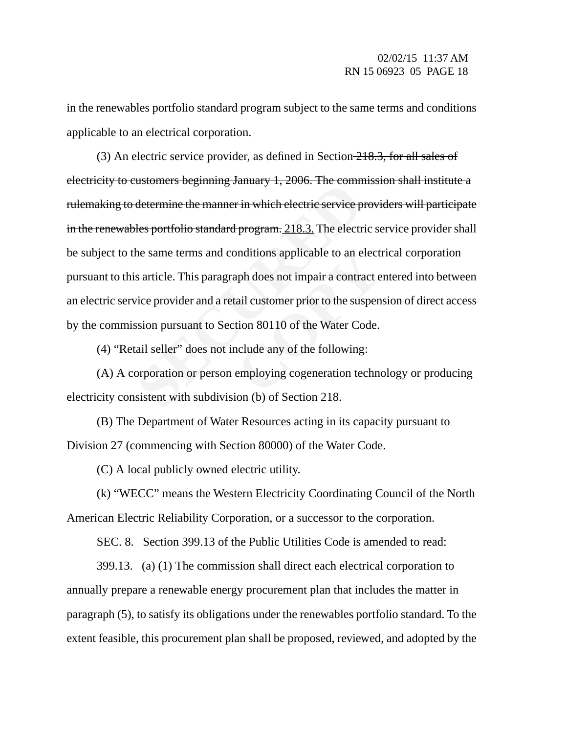in the renewables portfolio standard program subject to the same terms and conditions applicable to an electrical corporation.

determine the manner in which electric service p<br>determine the manner in which electric service p<br>les portfolio standard program. 218.3. The electr<br>he same terms and conditions applicable to an e<br>s article. This paragraph onditions applicable to an elect<br>aph does not impair a contract e<br>ail customer prior to the suspen<br>tion 80110 of the Water Code.<br>aclude any of the following:<br>employing cogeneration techne (3) An electric service provider, as defined in Section  $218.3$ , for all sales of electricity to customers beginning January 1, 2006. The commission shall institute a rulemaking to determine the manner in which electric service providers will participate in the renewables portfolio standard program. 218.3. The electric service provider shall be subject to the same terms and conditions applicable to an electrical corporation pursuant to this article. This paragraph does not impair a contract entered into between an electric service provider and a retail customer prior to the suspension of direct access by the commission pursuant to Section 80110 of the Water Code.

(4) "Retail seller" does not include any of the following:

(A) A corporation or person employing cogeneration technology or producing electricity consistent with subdivision (b) of Section 218.

(B) The Department of Water Resources acting in its capacity pursuant to Division 27 (commencing with Section 80000) of the Water Code.

(C) A local publicly owned electric utility.

(k) "WECC" means the Western Electricity Coordinating Council of the North American Electric Reliability Corporation, or a successor to the corporation.

SEC. 8. Section 399.13 of the Public Utilities Code is amended to read:

399.13. (a) (1) The commission shall direct each electrical corporation to annually prepare a renewable energy procurement plan that includes the matter in paragraph (5), to satisfy its obligations under the renewables portfolio standard. To the extent feasible, this procurement plan shall be proposed, reviewed, and adopted by the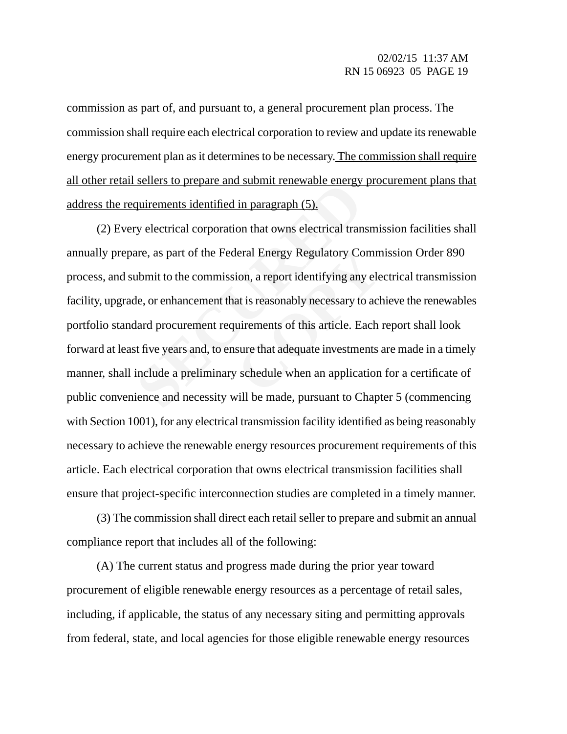commission as part of, and pursuant to, a general procurement plan process. The commission shall require each electrical corporation to review and update its renewable energy procurement plan as it determines to be necessary. The commission shall require all other retail sellers to prepare and submit renewable energy procurement plans that address the requirements identified in paragraph (5).

seners to prepare and submit renewable energy<br>quirements identified in paragraph (5).<br>cy electrical corporation that owns electrical tran<br>are, as part of the Federal Energy Regulatory Co<br>ubmit to the commission, a report i leral Energy Regulatory Comm<br>ion, a report identifying any ele<br>at is reasonably necessary to ach<br>uirements of this article. Each<br>sure that adequate investments and such a schedule when an application (2) Every electrical corporation that owns electrical transmission facilities shall annually prepare, as part of the Federal Energy Regulatory Commission Order 890 process, and submit to the commission, a report identifying any electrical transmission facility, upgrade, or enhancement that is reasonably necessary to achieve the renewables portfolio standard procurement requirements of this article. Each report shall look forward at least five years and, to ensure that adequate investments are made in a timely manner, shall include a preliminary schedule when an application for a certificate of public convenience and necessity will be made, pursuant to Chapter 5 (commencing with Section 1001), for any electrical transmission facility identified as being reasonably necessary to achieve the renewable energy resources procurement requirements of this article. Each electrical corporation that owns electrical transmission facilities shall ensure that project-specific interconnection studies are completed in a timely manner.

(3) The commission shall direct each retail seller to prepare and submit an annual compliance report that includes all of the following:

(A) The current status and progress made during the prior year toward procurement of eligible renewable energy resources as a percentage of retail sales, including, if applicable, the status of any necessary siting and permitting approvals from federal, state, and local agencies for those eligible renewable energy resources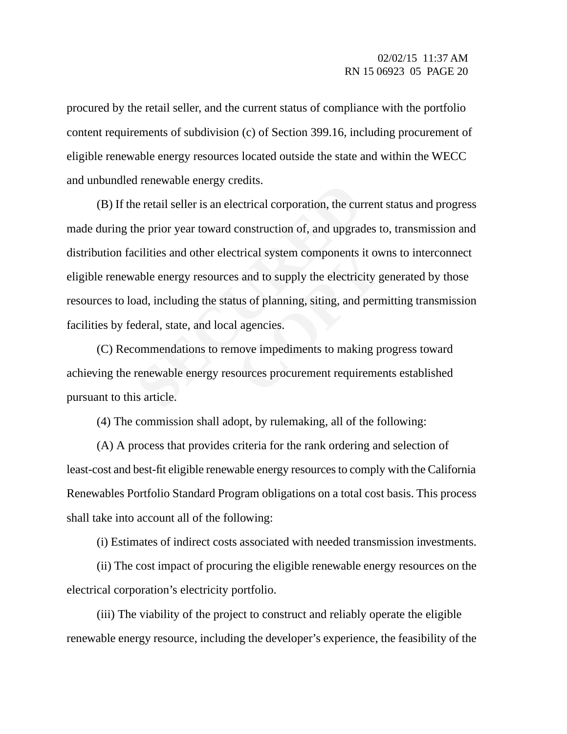procured by the retail seller, and the current status of compliance with the portfolio content requirements of subdivision (c) of Section 399.16, including procurement of eligible renewable energy resources located outside the state and within the WECC and unbundled renewable energy credits.

Frenewable energy creams.<br>
Re retail seller is an electrical corporation, the cur<br>
the prior year toward construction of, and upgrac<br>
cilities and other electrical system components is<br>
able energy resources and to supply Exercised System components it ov<br>
Solved and to supply the electricity<br>
Let a solved the electricity<br>
Cause of planning, siting, and perrol<br>
agencies.<br>
Rowe impediments to making p<br>
Sources procurement requirement (B) If the retail seller is an electrical corporation, the current status and progress made during the prior year toward construction of, and upgrades to, transmission and distribution facilities and other electrical system components it owns to interconnect eligible renewable energy resources and to supply the electricity generated by those resources to load, including the status of planning, siting, and permitting transmission facilities by federal, state, and local agencies.

(C) Recommendations to remove impediments to making progress toward achieving the renewable energy resources procurement requirements established pursuant to this article.

(4) The commission shall adopt, by rulemaking, all of the following:

(A) A process that provides criteria for the rank ordering and selection of least-cost and best-fit eligible renewable energy resources to comply with the California Renewables Portfolio Standard Program obligations on a total cost basis. This process shall take into account all of the following:

(i) Estimates of indirect costs associated with needed transmission investments.

(ii) The cost impact of procuring the eligible renewable energy resources on the electrical corporation's electricity portfolio.

(iii) The viability of the project to construct and reliably operate the eligible renewable energy resource, including the developer's experience, the feasibility of the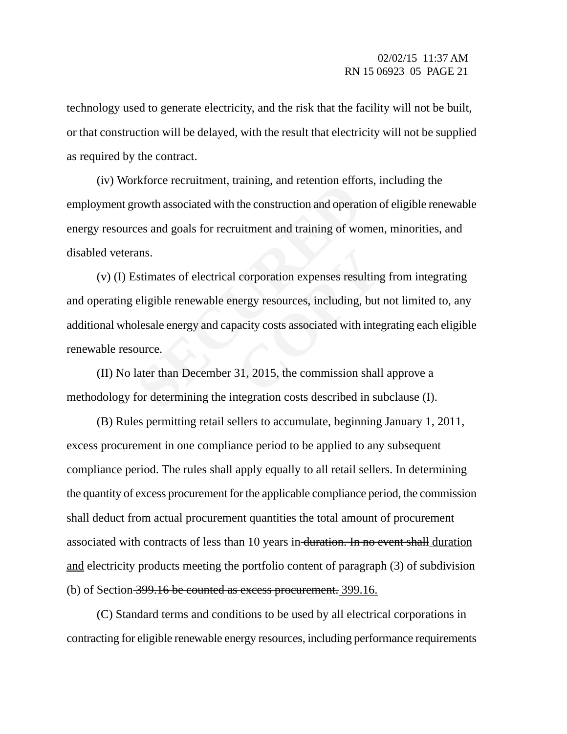technology used to generate electricity, and the risk that the facility will not be built, or that construction will be delayed, with the result that electricity will not be supplied as required by the contract.

(iv) Workforce recruitment, training, and retention efforts, including the employment growth associated with the construction and operation of eligible renewable energy resources and goals for recruitment and training of women, minorities, and disabled veterans.

Extride Fectual<br>Frameworth associated with the construction and operatives and goals for recruitment and training of wo<br>ans.<br>Estimates of electrical corporation expenses resu<br>eligible renewable energy resources, including, corporation expenses resulting<br>hergy resources, including, but<br>bacity costs associated with integrals,<br>31, 2015, the commission shall (v) (I) Estimates of electrical corporation expenses resulting from integrating and operating eligible renewable energy resources, including, but not limited to, any additional wholesale energy and capacity costs associated with integrating each eligible renewable resource.

(II) No later than December 31, 2015, the commission shall approve a methodology for determining the integration costs described in subclause (I).

(B) Rules permitting retail sellers to accumulate, beginning January 1, 2011, excess procurement in one compliance period to be applied to any subsequent compliance period. The rules shall apply equally to all retail sellers. In determining the quantity of excess procurement for the applicable compliance period, the commission shall deduct from actual procurement quantities the total amount of procurement associated with contracts of less than 10 years in duration. In no event shall duration and electricity products meeting the portfolio content of paragraph (3) of subdivision (b) of Section  $-399.16$  be counted as excess procurement.  $399.16$ .

(C) Standard terms and conditions to be used by all electrical corporations in contracting for eligible renewable energy resources, including performance requirements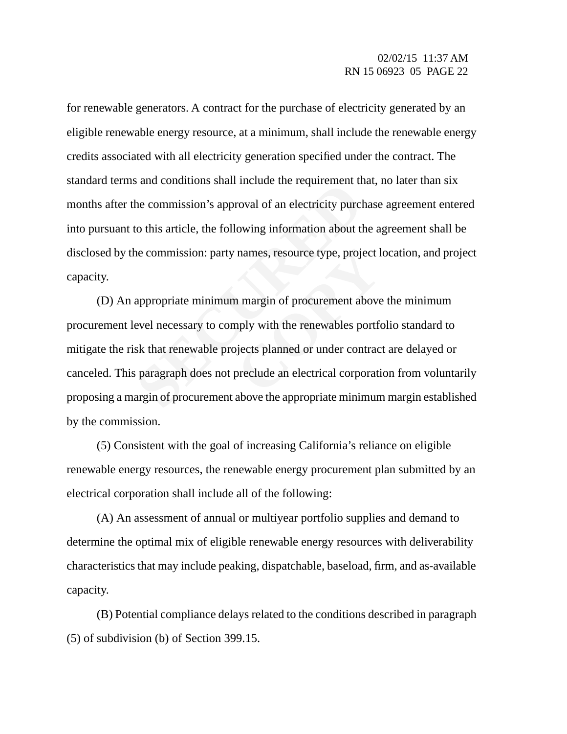for renewable generators. A contract for the purchase of electricity generated by an eligible renewable energy resource, at a minimum, shall include the renewable energy credits associated with all electricity generation specified under the contract. The standard terms and conditions shall include the requirement that, no later than six months after the commission's approval of an electricity purchase agreement entered into pursuant to this article, the following information about the agreement shall be disclosed by the commission: party names, resource type, project location, and project capacity.

s and conductions shart include the requirement the<br>he commission's approval of an electricity purch<br>to this article, the following information about th<br>ne commission: party names, resource type, proje<br>appropriate minimum names, resource type, project l<br>
n margin of procurement above<br>
mply with the renewables portfo<br>
piects planned or under contrac<br>
preclude an electrical corporati (D) An appropriate minimum margin of procurement above the minimum procurement level necessary to comply with the renewables portfolio standard to mitigate the risk that renewable projects planned or under contract are delayed or canceled. This paragraph does not preclude an electrical corporation from voluntarily proposing a margin of procurement above the appropriate minimum margin established by the commission.

(5) Consistent with the goal of increasing California's reliance on eligible renewable energy resources, the renewable energy procurement plan submitted by an electrical corporation shall include all of the following:

(A) An assessment of annual or multiyear portfolio supplies and demand to determine the optimal mix of eligible renewable energy resources with deliverability characteristics that may include peaking, dispatchable, baseload, firm, and as-available capacity.

(B) Potential compliance delays related to the conditions described in paragraph (5) of subdivision (b) of Section 399.15.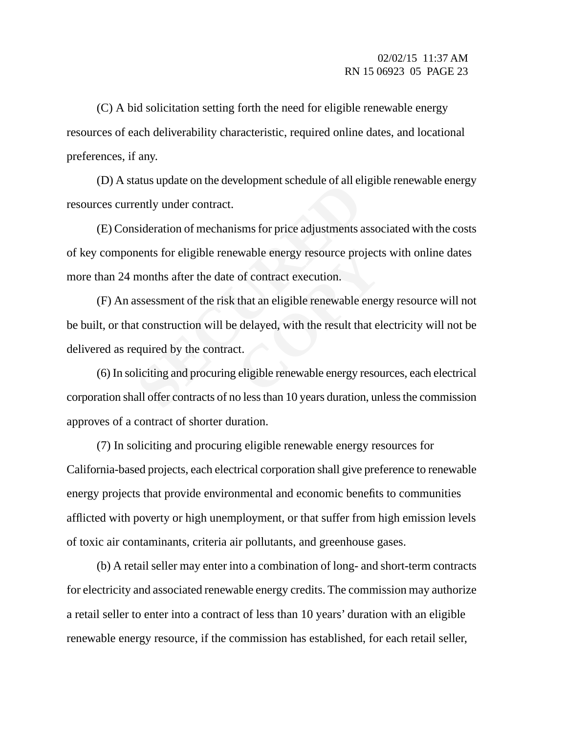(C) A bid solicitation setting forth the need for eligible renewable energy resources of each deliverability characteristic, required online dates, and locational preferences, if any.

(D) A status update on the development schedule of all eligible renewable energy resources currently under contract.

atus update on the development schedule of all end<br>ently under contract.<br>sideration of mechanisms for price adjustments a<br>nents for eligible renewable energy resource pro<br>months after the date of contract execution.<br>sssess (E) Consideration of mechanisms for price adjustments associated with the costs of key components for eligible renewable energy resource projects with online dates more than 24 months after the date of contract execution.

Example energy resource project<br>of contract execution.<br>that an eligible renewable energy delayed, with the result that elect.<br>t.<br>eligible renewable energy resoured (F) An assessment of the risk that an eligible renewable energy resource will not be built, or that construction will be delayed, with the result that electricity will not be delivered as required by the contract.

(6) In soliciting and procuring eligible renewable energy resources, each electrical corporation shall offer contracts of no less than 10 years duration, unless the commission approves of a contract of shorter duration.

(7) In soliciting and procuring eligible renewable energy resources for California-based projects, each electrical corporation shall give preference to renewable energy projects that provide environmental and economic benefits to communities afflicted with poverty or high unemployment, or that suffer from high emission levels of toxic air contaminants, criteria air pollutants, and greenhouse gases.

(b) A retail seller may enter into a combination of long- and short-term contracts for electricity and associated renewable energy credits. The commission may authorize a retail seller to enter into a contract of less than 10 years' duration with an eligible renewable energy resource, if the commission has established, for each retail seller,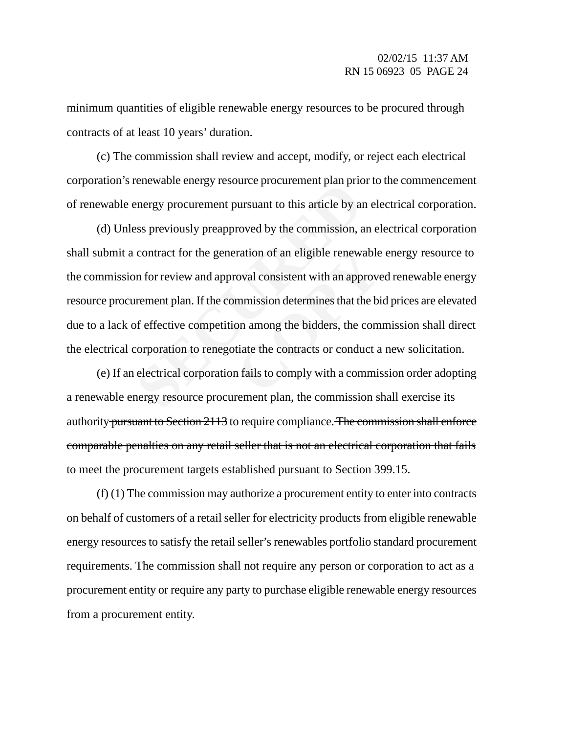minimum quantities of eligible renewable energy resources to be procured through contracts of at least 10 years' duration.

(c) The commission shall review and accept, modify, or reject each electrical corporation's renewable energy resource procurement plan prior to the commencement of renewable energy procurement pursuant to this article by an electrical corporation.

Energy procurement pursuant to this article by an<br>energy procurement pursuant to this article by an<br>ess previously preapproved by the commission, a<br>contract for the generation of an eligible renewa<br>on for review and approv ration of an eligible renewable<br>
coval consistent with an approve<br>
mmission determines that the bi<br>
on among the bidders, the com<br>
tiate the contracts or conduct a<br>
n fails to comply with a commis (d) Unless previously preapproved by the commission, an electrical corporation shall submit a contract for the generation of an eligible renewable energy resource to the commission for review and approval consistent with an approved renewable energy resource procurement plan. If the commission determines that the bid prices are elevated due to a lack of effective competition among the bidders, the commission shall direct the electrical corporation to renegotiate the contracts or conduct a new solicitation.

(e) If an electrical corporation fails to comply with a commission order adopting a renewable energy resource procurement plan, the commission shall exercise its authority pursuant to Section 2113 to require compliance. The commission shall enforce comparable penalties on any retail seller that is not an electrical corporation that fails to meet the procurement targets established pursuant to Section 399.15.

(f) (1) The commission may authorize a procurement entity to enter into contracts on behalf of customers of a retail seller for electricity products from eligible renewable energy resources to satisfy the retail seller's renewables portfolio standard procurement requirements. The commission shall not require any person or corporation to act as a procurement entity or require any party to purchase eligible renewable energy resources from a procurement entity.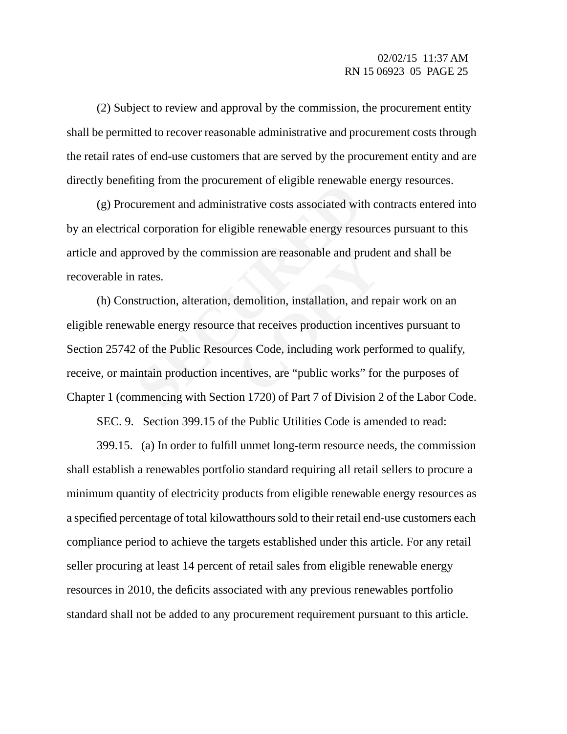(2) Subject to review and approval by the commission, the procurement entity shall be permitted to recover reasonable administrative and procurement costs through the retail rates of end-use customers that are served by the procurement entity and are directly benefiting from the procurement of eligible renewable energy resources.

(g) Procurement and administrative costs associated with contracts entered into by an electrical corporation for eligible renewable energy resources pursuant to this article and approved by the commission are reasonable and prudent and shall be recoverable in rates.

ting from the procurement of englote renewable<br>curement and administrative costs associated with<br>al corporation for eligible renewable energy reso<br>proved by the commission are reasonable and pr<br>rates.<br>struction, alteration ssion are reasonable and prude<br>demolition, installation, and reg<br>that receives production incen<br>rces Code, including work perf<br>entives, are "public works" for (h) Construction, alteration, demolition, installation, and repair work on an eligible renewable energy resource that receives production incentives pursuant to Section 25742 of the Public Resources Code, including work performed to qualify, receive, or maintain production incentives, are "public works" for the purposes of Chapter 1 (commencing with Section 1720) of Part 7 of Division 2 of the Labor Code.

SEC. 9. Section 399.15 of the Public Utilities Code is amended to read:

399.15. (a) In order to fulfill unmet long-term resource needs, the commission shall establish a renewables portfolio standard requiring all retail sellers to procure a minimum quantity of electricity products from eligible renewable energy resources as a specified percentage of total kilowatthours sold to their retail end-use customers each compliance period to achieve the targets established under this article. For any retail seller procuring at least 14 percent of retail sales from eligible renewable energy resources in 2010, the deficits associated with any previous renewables portfolio standard shall not be added to any procurement requirement pursuant to this article.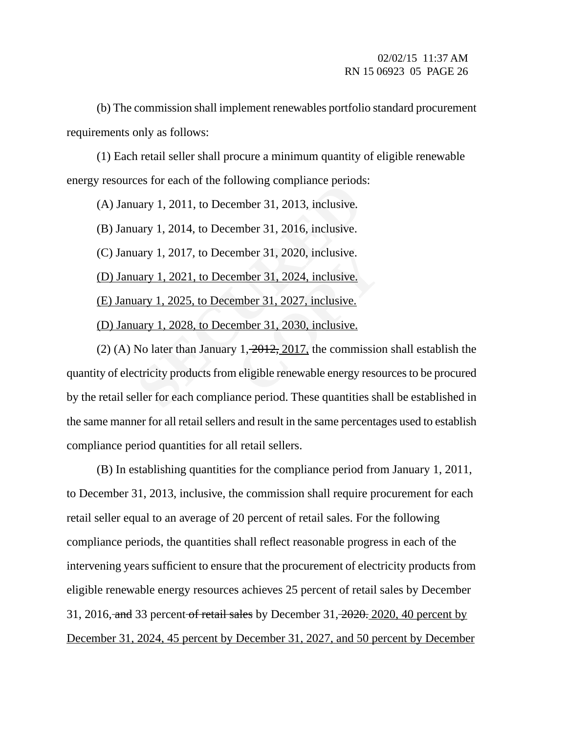(b) The commission shall implement renewables portfolio standard procurement requirements only as follows:

(1) Each retail seller shall procure a minimum quantity of eligible renewable energy resources for each of the following compliance periods:

(A) January 1, 2011, to December 31, 2013, inclusive.

(B) January 1, 2014, to December 31, 2016, inclusive.

(C) January 1, 2017, to December 31, 2020, inclusive.

(D) January 1, 2021, to December 31, 2024, inclusive.

(E) January 1, 2025, to December 31, 2027, inclusive.

(D) January 1, 2028, to December 31, 2030, inclusive.

the start of the following compitance performant performancy 1, 2011, to December 31, 2016, inclusive.<br>
Henry 1, 2017, to December 31, 2020, inclusive.<br>
Henry 1, 2021, to December 31, 2024, inclusive.<br>
Henry 1, 2025, to De mber 31, 2020, inclusive.<br>
<u>comber 31, 2024, inclusive.</u><br>
<u>Copy 1, 2027, inclusive.</u><br>
<u>Copy 1, 2012, 2017</u>, the commission eligible renewable energy reso (2) (A) No later than January  $1, \frac{2012}{2017}$ , the commission shall establish the quantity of electricity products from eligible renewable energy resources to be procured by the retail seller for each compliance period. These quantities shall be established in the same manner for all retail sellers and result in the same percentages used to establish compliance period quantities for all retail sellers.

(B) In establishing quantities for the compliance period from January 1, 2011, to December 31, 2013, inclusive, the commission shall require procurement for each retail seller equal to an average of 20 percent of retail sales. For the following compliance periods, the quantities shall reflect reasonable progress in each of the intervening years sufficient to ensure that the procurement of electricity products from eligible renewable energy resources achieves 25 percent of retail sales by December 31, 2016, and 33 percent of retail sales by December 31, 2020. 2020, 40 percent by December 31, 2024, 45 percent by December 31, 2027, and 50 percent by December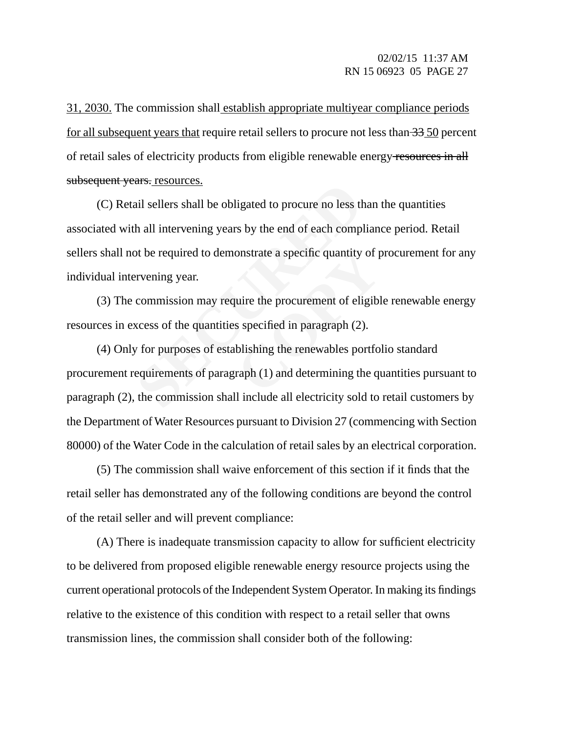31, 2030. The commission shall establish appropriate multiyear compliance periods for all subsequent years that require retail sellers to procure not less than 33 50 percent of retail sales of electricity products from eligible renewable energy resources in all subsequent years. resources.

Figures.<br>
All sellers shall be obligated to procure no less the<br>
h all intervening years by the end of each compl<br>
of the required to demonstrate a specific quantity<br>
rvening year.<br>
commission may require the procurement o (C) Retail sellers shall be obligated to procure no less than the quantities associated with all intervening years by the end of each compliance period. Retail sellers shall not be required to demonstrate a specific quantity of procurement for any individual intervening year.

(3) The commission may require the procurement of eligible renewable energy resources in excess of the quantities specified in paragraph (2).

onstrate a specific quantity of p<br>
uire the procurement of eligibl<br>
s specified in paragraph (2).<br>
blishing the renewables portfor<br>
raph (1) and determining the qu (4) Only for purposes of establishing the renewables portfolio standard procurement requirements of paragraph (1) and determining the quantities pursuant to paragraph (2), the commission shall include all electricity sold to retail customers by the Department of Water Resources pursuant to Division 27 (commencing with Section 80000) of the Water Code in the calculation of retail sales by an electrical corporation.

(5) The commission shall waive enforcement of this section if it finds that the retail seller has demonstrated any of the following conditions are beyond the control of the retail seller and will prevent compliance:

(A) There is inadequate transmission capacity to allow for sufficient electricity to be delivered from proposed eligible renewable energy resource projects using the current operational protocols of the Independent System Operator. In making its findings relative to the existence of this condition with respect to a retail seller that owns transmission lines, the commission shall consider both of the following: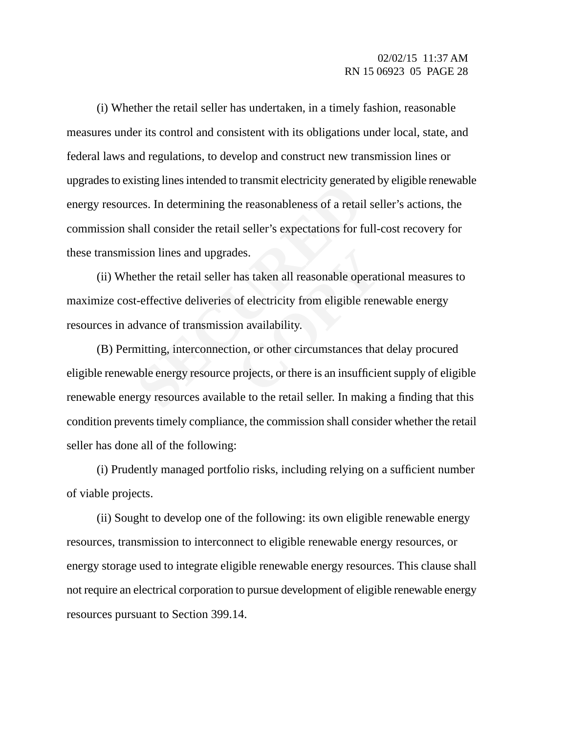Islam interaction that the reasonableness of a retainall consider the retail seller's expectations for factor in the retail seller and upgrades.<br>
Ether the retail seller has taken all reasonable operations for factor in th (i) Whether the retail seller has undertaken, in a timely fashion, reasonable measures under its control and consistent with its obligations under local, state, and federal laws and regulations, to develop and construct new transmission lines or upgrades to existing lines intended to transmit electricity generated by eligible renewable energy resources. In determining the reasonableness of a retail seller's actions, the commission shall consider the retail seller's expectations for full-cost recovery for these transmission lines and upgrades.

des.<br>
has taken all reasonable operat<br>
of electricity from eligible rene<br>
on availability.<br>
on, or other circumstances that<br>
projects, or there is an insufficie (ii) Whether the retail seller has taken all reasonable operational measures to maximize cost-effective deliveries of electricity from eligible renewable energy resources in advance of transmission availability.

(B) Permitting, interconnection, or other circumstances that delay procured eligible renewable energy resource projects, or there is an insufficient supply of eligible renewable energy resources available to the retail seller. In making a finding that this condition prevents timely compliance, the commission shall consider whether the retail seller has done all of the following:

(i) Prudently managed portfolio risks, including relying on a sufficient number of viable projects.

(ii) Sought to develop one of the following: its own eligible renewable energy resources, transmission to interconnect to eligible renewable energy resources, or energy storage used to integrate eligible renewable energy resources. This clause shall not require an electrical corporation to pursue development of eligible renewable energy resources pursuant to Section 399.14.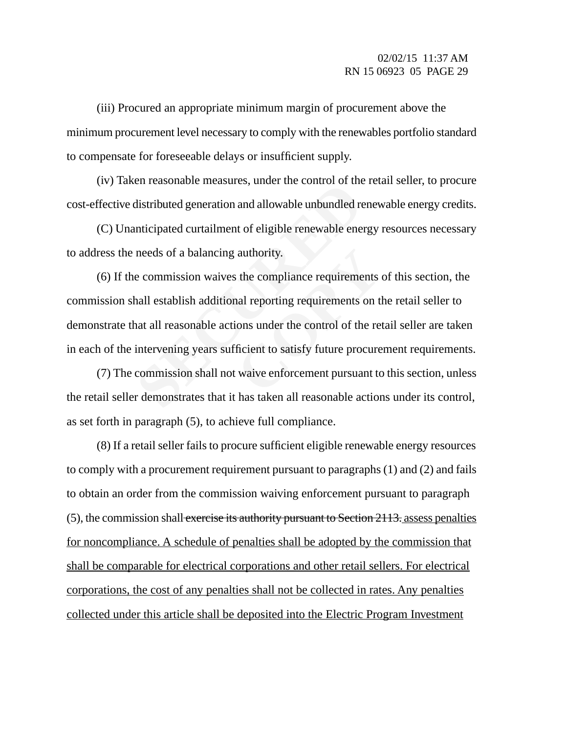(iii) Procured an appropriate minimum margin of procurement above the minimum procurement level necessary to comply with the renewables portfolio standard to compensate for foreseeable delays or insufficient supply.

(iv) Taken reasonable measures, under the control of the retail seller, to procure cost-effective distributed generation and allowable unbundled renewable energy credits.

(C) Unanticipated curtailment of eligible renewable energy resources necessary to address the needs of a balancing authority.

en reasonable measures, under the control of the<br>distributed generation and allowable unbundled re<br>mticipated curtailment of eligible renewable ener<br>needs of a balancing authority.<br>e commission waives the compliance requir authority.<br>
S the compliance requirements<br>
and reporting requirements on the control of the reflicient to satisfy future procure<br>
COPY EXECUTE:<br>
COPY WARD EXECUTE:<br>
COPY WARD EXECUTE: (6) If the commission waives the compliance requirements of this section, the commission shall establish additional reporting requirements on the retail seller to demonstrate that all reasonable actions under the control of the retail seller are taken in each of the intervening years sufficient to satisfy future procurement requirements.

(7) The commission shall not waive enforcement pursuant to this section, unless the retail seller demonstrates that it has taken all reasonable actions under its control, as set forth in paragraph (5), to achieve full compliance.

(8) If a retail seller fails to procure sufficient eligible renewable energy resources to comply with a procurement requirement pursuant to paragraphs (1) and (2) and fails to obtain an order from the commission waiving enforcement pursuant to paragraph (5), the commission shall exercise its authority pursuant to Section 2113. assess penalties for noncompliance. A schedule of penalties shall be adopted by the commission that shall be comparable for electrical corporations and other retail sellers. For electrical corporations, the cost of any penalties shall not be collected in rates. Any penalties collected under this article shall be deposited into the Electric Program Investment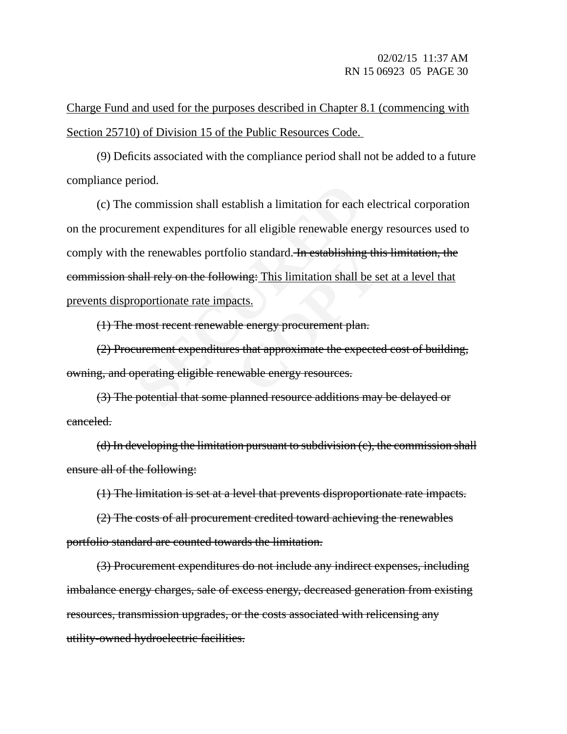Charge Fund and used for the purposes described in Chapter 8.1 (commencing with Section 25710) of Division 15 of the Public Resources Code.

(9) Deficits associated with the compliance period shall not be added to a future compliance period.

Examples 1100.<br>
Seconditions hall establish a limitation for each<br>
the renewables portfolio standard. <del>In establishing</del><br>
hall rely on the following: This limitation shall b<br>
oportionate rate impacts.<br>
most recent renewable lio standard. <del>In establishing thi</del><br>
v<del>ing: This limitation shall be senters</del>.<br>
<u>COCS</u><br>
decreases that approximate the expected<br>
expected wable energy resources. (c) The commission shall establish a limitation for each electrical corporation on the procurement expenditures for all eligible renewable energy resources used to comply with the renewables portfolio standard. In establishing this limitation, the commission shall rely on the following: This limitation shall be set at a level that prevents disproportionate rate impacts.

(1) The most recent renewable energy procurement plan.

(2) Procurement expenditures that approximate the expected cost of building, owning, and operating eligible renewable energy resources.

(3) The potential that some planned resource additions may be delayed or canceled.

(d) In developing the limitation pursuant to subdivision (c), the commission shall ensure all of the following:

(1) The limitation is set at a level that prevents disproportionate rate impacts.

(2) The costs of all procurement credited toward achieving the renewables portfolio standard are counted towards the limitation.

(3) Procurement expenditures do not include any indirect expenses, including imbalance energy charges, sale of excess energy, decreased generation from existing resources, transmission upgrades, or the costs associated with relicensing any utility-owned hydroelectric facilities.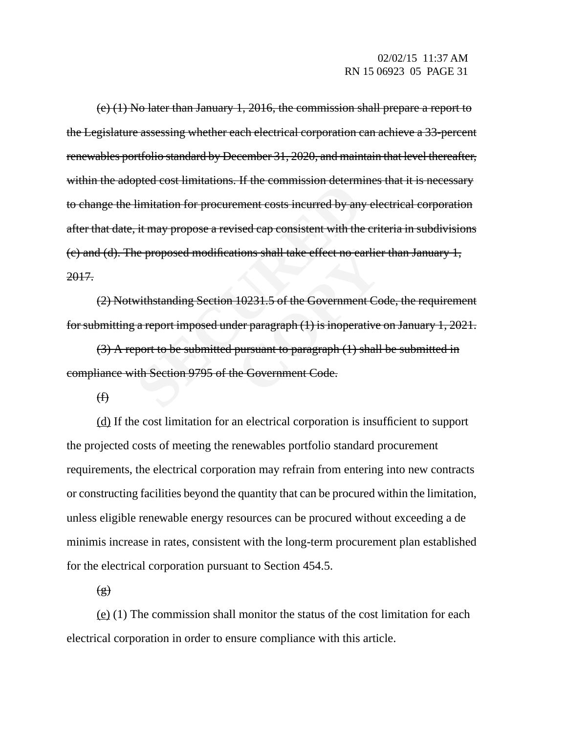phed cost initiations. If the commission determination for procurement costs incurred by any<br>it may propose a revised cap consistent with the<br>ne proposed modifications shall take effect no ca<br>withstanding Section 10231.5 o (e) (1) No later than January 1, 2016, the commission shall prepare a report to the Legislature assessing whether each electrical corporation can achieve a 33-percent renewables portfolio standard by December 31, 2020, and maintain that level thereafter, within the adopted cost limitations. If the commission determines that it is necessary to change the limitation for procurement costs incurred by any electrical corporation after that date, it may propose a revised cap consistent with the criteria in subdivisions (c) and (d). The proposed modifications shall take effect no earlier than January 1, 2017.

(2) Notwithstanding Section 10231.5 of the Government Code, the requirement for submitting a report imposed under paragraph (1) is inoperative on January 1, 2021.

tions shall take effect no earlie:<br>10231.5 of the Government Co<br>der paragraph (1) is inoperative<br>pursuant to paragraph (1) shall<br>ne Government Code. (3) A report to be submitted pursuant to paragraph (1) shall be submitted in compliance with Section 9795 of the Government Code.

 $\bigoplus$ 

(d) If the cost limitation for an electrical corporation is insufficient to support the projected costs of meeting the renewables portfolio standard procurement requirements, the electrical corporation may refrain from entering into new contracts or constructing facilities beyond the quantity that can be procured within the limitation, unless eligible renewable energy resources can be procured without exceeding a de minimis increase in rates, consistent with the long-term procurement plan established for the electrical corporation pursuant to Section 454.5.

 $\left(\frac{1}{2}\right)$ 

(e) (1) The commission shall monitor the status of the cost limitation for each electrical corporation in order to ensure compliance with this article.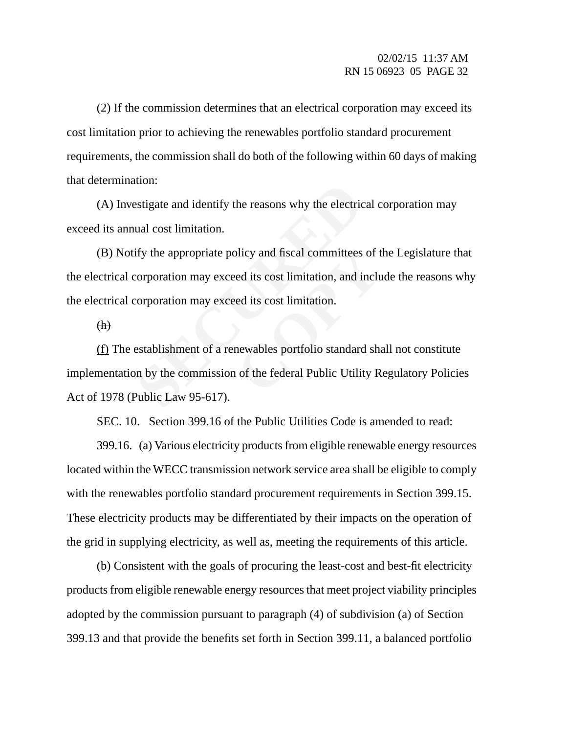(2) If the commission determines that an electrical corporation may exceed its cost limitation prior to achieving the renewables portfolio standard procurement requirements, the commission shall do both of the following within 60 days of making that determination:

(A) Investigate and identify the reasons why the electrical corporation may exceed its annual cost limitation.

blicy and fiscal committees of the discost limitation, and included its cost limitation.<br>
Here discost limitation.<br>
Contrarewables portfolio standard shaped to the federal Public Utility R (B) Notify the appropriate policy and fiscal committees of the Legislature that the electrical corporation may exceed its cost limitation, and include the reasons why the electrical corporation may exceed its cost limitation.

 $(h)$ 

**SECURED** (f) The establishment of a renewables portfolio standard shall not constitute implementation by the commission of the federal Public Utility Regulatory Policies Act of 1978 (Public Law 95-617).

SEC. 10. Section 399.16 of the Public Utilities Code is amended to read:

399.16. (a) Various electricity products from eligible renewable energy resources located within the WECC transmission network service area shall be eligible to comply with the renewables portfolio standard procurement requirements in Section 399.15. These electricity products may be differentiated by their impacts on the operation of the grid in supplying electricity, as well as, meeting the requirements of this article.

(b) Consistent with the goals of procuring the least-cost and best-fit electricity products from eligible renewable energy resources that meet project viability principles adopted by the commission pursuant to paragraph (4) of subdivision (a) of Section 399.13 and that provide the benefits set forth in Section 399.11, a balanced portfolio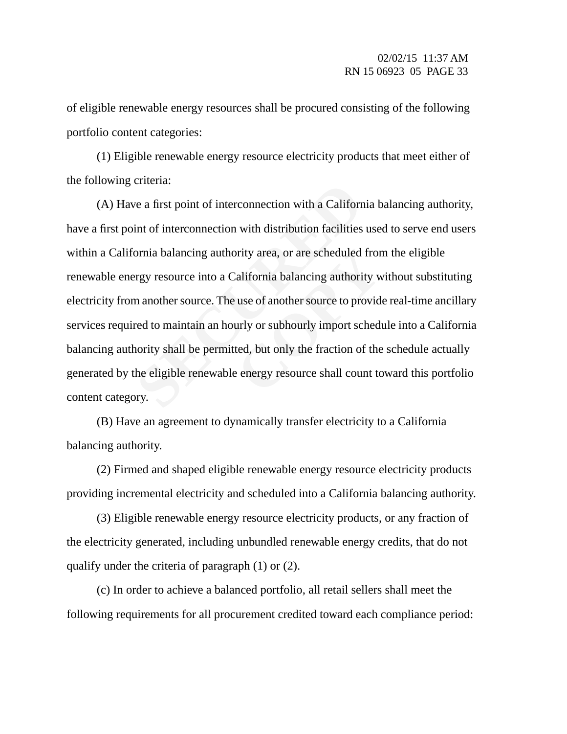of eligible renewable energy resources shall be procured consisting of the following portfolio content categories:

(1) Eligible renewable energy resource electricity products that meet either of the following criteria:

rea first point of interconnection with a Californ<br>int of interconnection with distribution facilities<br>ornia balancing authority area, or are scheduled<br>rgy resource into a California balancing authori<br>m another source. The beyonded from the scheduled from the scheduled from the scheduled from the scheduled from the scheduled scheduled, but only the fraction of the seeding personnece shall count to the experiment of the seeding resource shall (A) Have a first point of interconnection with a California balancing authority, have a first point of interconnection with distribution facilities used to serve end users within a California balancing authority area, or are scheduled from the eligible renewable energy resource into a California balancing authority without substituting electricity from another source. The use of another source to provide real-time ancillary services required to maintain an hourly or subhourly import schedule into a California balancing authority shall be permitted, but only the fraction of the schedule actually generated by the eligible renewable energy resource shall count toward this portfolio content category.

(B) Have an agreement to dynamically transfer electricity to a California balancing authority.

(2) Firmed and shaped eligible renewable energy resource electricity products providing incremental electricity and scheduled into a California balancing authority.

(3) Eligible renewable energy resource electricity products, or any fraction of the electricity generated, including unbundled renewable energy credits, that do not qualify under the criteria of paragraph (1) or (2).

(c) In order to achieve a balanced portfolio, all retail sellers shall meet the following requirements for all procurement credited toward each compliance period: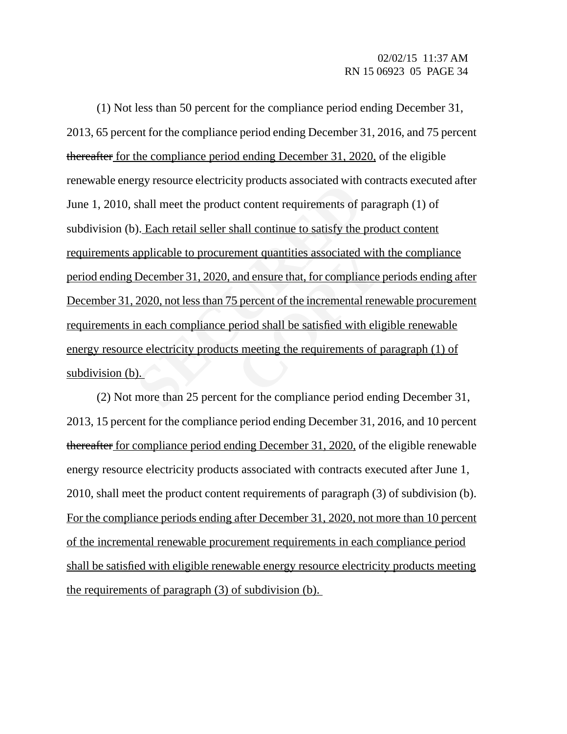resource electricity products associated with<br>shall meet the product content requirements of p<br>). Each retail seller shall continue to satisfy the<br>applicable to procurement quantities associated<br>December 31, 2020, and ensu ment quantities associated with<br>and ensure that, for compliance<br>bi percent of the incremental rene<br>eriod shall be satisfied with eli<br>s meeting the requirements of p (1) Not less than 50 percent for the compliance period ending December 31, 2013, 65 percent for the compliance period ending December 31, 2016, and 75 percent thereafter for the compliance period ending December 31, 2020, of the eligible renewable energy resource electricity products associated with contracts executed after June 1, 2010, shall meet the product content requirements of paragraph (1) of subdivision (b). Each retail seller shall continue to satisfy the product content requirements applicable to procurement quantities associated with the compliance period ending December 31, 2020, and ensure that, for compliance periods ending after December 31, 2020, not less than 75 percent of the incremental renewable procurement requirements in each compliance period shall be satisfied with eligible renewable energy resource electricity products meeting the requirements of paragraph (1) of subdivision (b).

(2) Not more than 25 percent for the compliance period ending December 31, 2013, 15 percent for the compliance period ending December 31, 2016, and 10 percent thereafter for compliance period ending December 31, 2020, of the eligible renewable energy resource electricity products associated with contracts executed after June 1, 2010, shall meet the product content requirements of paragraph (3) of subdivision (b). For the compliance periods ending after December 31, 2020, not more than 10 percent of the incremental renewable procurement requirements in each compliance period shall be satisfied with eligible renewable energy resource electricity products meeting the requirements of paragraph (3) of subdivision (b).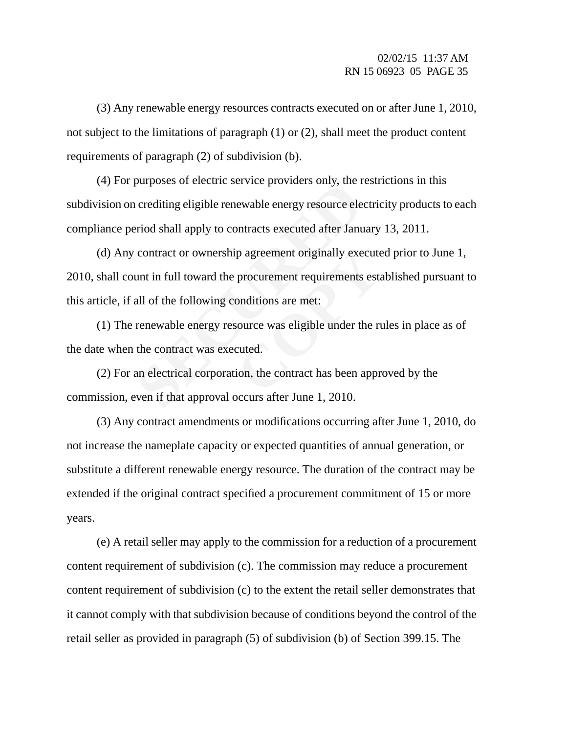(3) Any renewable energy resources contracts executed on or after June 1, 2010, not subject to the limitations of paragraph (1) or (2), shall meet the product content requirements of paragraph (2) of subdivision (b).

(4) For purposes of electric service providers only, the restrictions in this subdivision on crediting eligible renewable energy resource electricity products to each compliance period shall apply to contracts executed after January 13, 2011.

purposes or electric service providers omy, the r<br>increditing eligible renewable energy resource electrical<br>critical shall apply to contracts executed after Janu<br>contract or ownership agreement originally exe<br>unt in full t p agreement originally execute<br>procurement requirements estain<br>onditions are met:<br>source was eligible under the rucuted.<br>ion, the contract has been appr (d) Any contract or ownership agreement originally executed prior to June 1, 2010, shall count in full toward the procurement requirements established pursuant to this article, if all of the following conditions are met:

(1) The renewable energy resource was eligible under the rules in place as of the date when the contract was executed.

(2) For an electrical corporation, the contract has been approved by the commission, even if that approval occurs after June 1, 2010.

(3) Any contract amendments or modifications occurring after June 1, 2010, do not increase the nameplate capacity or expected quantities of annual generation, or substitute a different renewable energy resource. The duration of the contract may be extended if the original contract specified a procurement commitment of 15 or more years.

(e) A retail seller may apply to the commission for a reduction of a procurement content requirement of subdivision (c). The commission may reduce a procurement content requirement of subdivision (c) to the extent the retail seller demonstrates that it cannot comply with that subdivision because of conditions beyond the control of the retail seller as provided in paragraph (5) of subdivision (b) of Section 399.15. The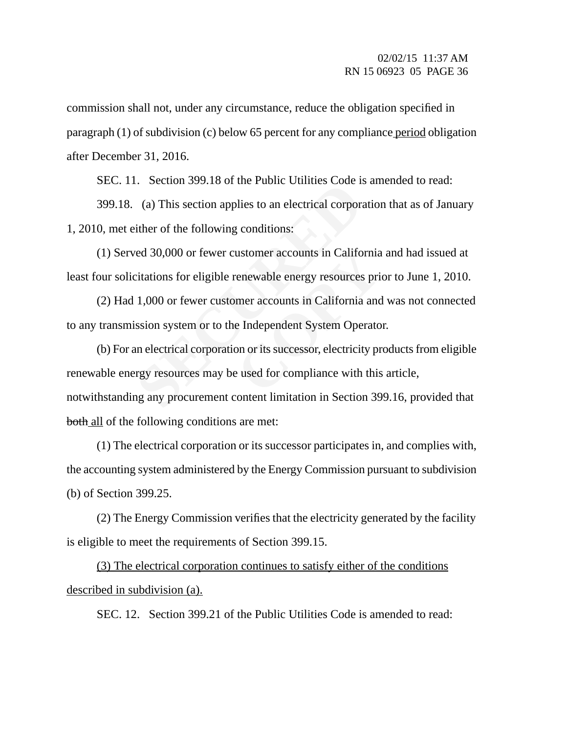commission shall not, under any circumstance, reduce the obligation specified in paragraph (1) of subdivision (c) below 65 percent for any compliance period obligation after December 31, 2016.

SEC. 11. Section 399.18 of the Public Utilities Code is amended to read:

399.18. (a) This section applies to an electrical corporation that as of January 1, 2010, met either of the following conditions:

(1) Served 30,000 or fewer customer accounts in California and had issued at least four solicitations for eligible renewable energy resources prior to June 1, 2010.

(2) Had 1,000 or fewer customer accounts in California and was not connected to any transmission system or to the Independent System Operator.

(a) This section applies to an electrical corporation of the following conditions:<br>
(a) This section applies to an electrical corporation<br>
ed 30,000 or fewer customer accounts in California<br>
1,000 or fewer customer account ustomer accounts in California<br>
enewable energy resources pri<br>
mer accounts in California and<br>
e Independent System Operato<br>
on or its successor, electricity pr<br>
e used for compliance with this (b) For an electrical corporation or its successor, electricity products from eligible renewable energy resources may be used for compliance with this article, notwithstanding any procurement content limitation in Section 399.16, provided that both all of the following conditions are met:

(1) The electrical corporation or its successor participates in, and complies with, the accounting system administered by the Energy Commission pursuant to subdivision (b) of Section 399.25.

(2) The Energy Commission verifies that the electricity generated by the facility is eligible to meet the requirements of Section 399.15.

(3) The electrical corporation continues to satisfy either of the conditions described in subdivision (a).

SEC. 12. Section 399.21 of the Public Utilities Code is amended to read: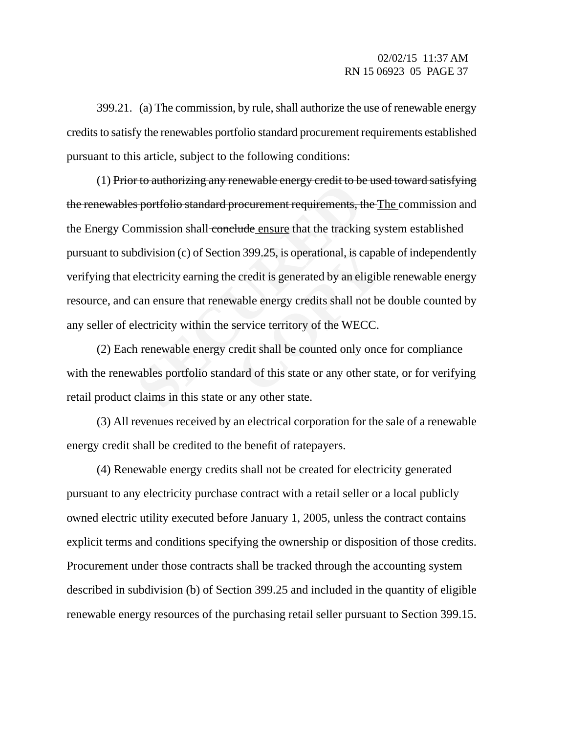399.21. (a) The commission, by rule, shall authorize the use of renewable energy credits to satisfy the renewables portfolio standard procurement requirements established pursuant to this article, subject to the following conditions:

For addition Energy Fenerative Chergy Feath to be<br>s portfolio standard procurement requirements, the<br>position shall-conclude ensure that the trackin<br>polivision (c) of Section 399.25, is operational, is c<br>electricity earnin n 399.25, is operational, is capal<br>
credit is generated by an eligib<br>
vable energy credits shall not be<br>
service territory of the WECC.<br>
redit shall be counted only onc<br>
lard of this state or any other st (1) Prior to authorizing any renewable energy credit to be used toward satisfying the renewables portfolio standard procurement requirements, the The commission and the Energy Commission shall conclude ensure that the tracking system established pursuant to subdivision (c) of Section 399.25, is operational, is capable of independently verifying that electricity earning the credit is generated by an eligible renewable energy resource, and can ensure that renewable energy credits shall not be double counted by any seller of electricity within the service territory of the WECC.

(2) Each renewable energy credit shall be counted only once for compliance with the renewables portfolio standard of this state or any other state, or for verifying retail product claims in this state or any other state.

(3) All revenues received by an electrical corporation for the sale of a renewable energy credit shall be credited to the benefit of ratepayers.

(4) Renewable energy credits shall not be created for electricity generated pursuant to any electricity purchase contract with a retail seller or a local publicly owned electric utility executed before January 1, 2005, unless the contract contains explicit terms and conditions specifying the ownership or disposition of those credits. Procurement under those contracts shall be tracked through the accounting system described in subdivision (b) of Section 399.25 and included in the quantity of eligible renewable energy resources of the purchasing retail seller pursuant to Section 399.15.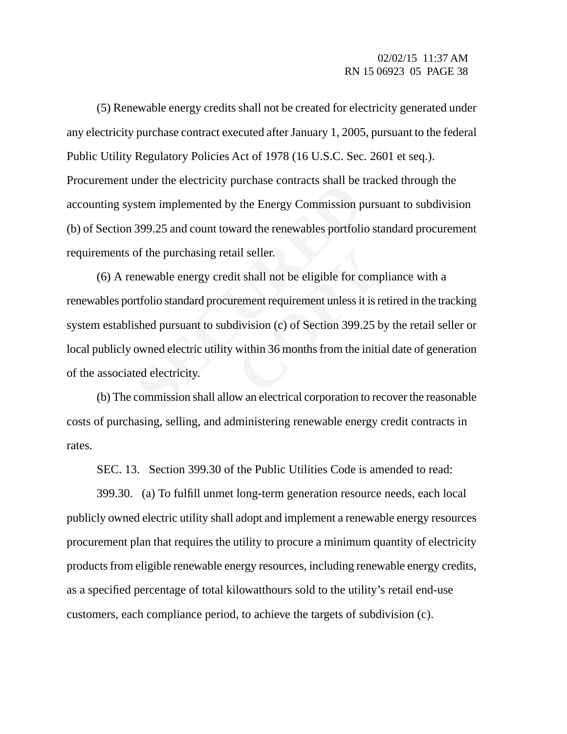(5) Renewable energy credits shall not be created for electricity generated under any electricity purchase contract executed after January 1, 2005, pursuant to the federal Public Utility Regulatory Policies Act of 1978 (16 U.S.C. Sec. 2601 et seq.). Procurement under the electricity purchase contracts shall be tracked through the accounting system implemented by the Energy Commission pursuant to subdivision (b) of Section 399.25 and count toward the renewables portfolio standard procurement requirements of the purchasing retail seller.

Inder the electricity purchase contracts shart be is<br>stem implemented by the Energy Commission p<br>399.25 and count toward the renewables portfoliof<br>of the purchasing retail seller.<br>newable energy credit shall not be eligibl ideologies.<br>
External not be eligible for comprement requirement unless it is represent requirement unless it is represent<br>
External 199.25 b<br>
Within 36 months from the initial (6) A renewable energy credit shall not be eligible for compliance with a renewables portfolio standard procurement requirement unless it is retired in the tracking system established pursuant to subdivision (c) of Section 399.25 by the retail seller or local publicly owned electric utility within 36 months from the initial date of generation of the associated electricity.

(b) The commission shall allow an electrical corporation to recover the reasonable costs of purchasing, selling, and administering renewable energy credit contracts in rates.

SEC. 13. Section 399.30 of the Public Utilities Code is amended to read:

399.30. (a) To fulfill unmet long-term generation resource needs, each local publicly owned electric utility shall adopt and implement a renewable energy resources procurement plan that requires the utility to procure a minimum quantity of electricity products from eligible renewable energy resources, including renewable energy credits, as a specified percentage of total kilowatthours sold to the utility's retail end-use customers, each compliance period, to achieve the targets of subdivision (c).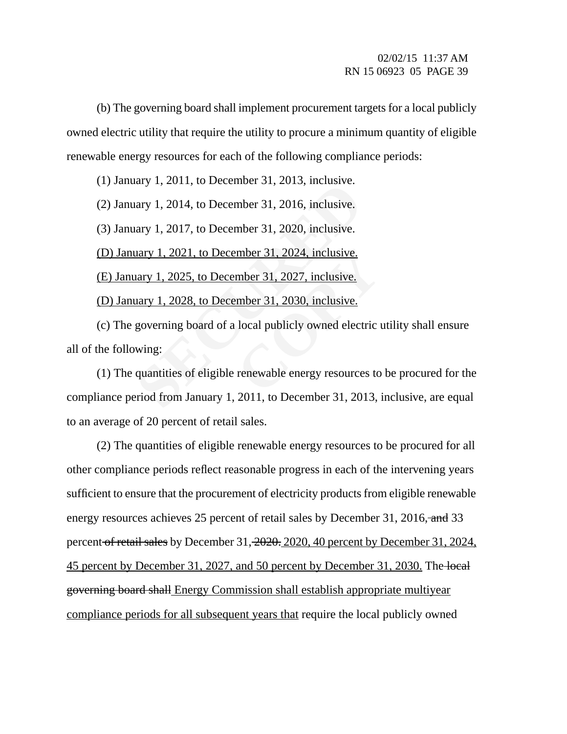(b) The governing board shall implement procurement targets for a local publicly owned electric utility that require the utility to procure a minimum quantity of eligible renewable energy resources for each of the following compliance periods:

(1) January 1, 2011, to December 31, 2013, inclusive.

(2) January 1, 2014, to December 31, 2016, inclusive.

(3) January 1, 2017, to December 31, 2020, inclusive.

(D) January 1, 2021, to December 31, 2024, inclusive.

(E) January 1, 2025, to December 31, 2027, inclusive.

(D) January 1, 2028, to December 31, 2030, inclusive.

mber 31, 2024, inclusive.<br>
mber 31, 2027, inclusive.<br>
ember 31, 2030, inclusive.<br>
local publicly owned electric under the process of the correction of the correction of the correction of the correction of the correction of (c) The governing board of a local publicly owned electric utility shall ensure all of the following:

ary 1, 2011, to December 31, 2015, inclusive.<br>
stary 1, 2014, to December 31, 2016, inclusive.<br>
stary 1, 2021, to December 31, 2020, inclusive.<br>
<u>uary 1, 2021, to December 31, 2024, inclusive.</u><br>
<u>uary 1, 2025, to December </u> (1) The quantities of eligible renewable energy resources to be procured for the compliance period from January 1, 2011, to December 31, 2013, inclusive, are equal to an average of 20 percent of retail sales.

(2) The quantities of eligible renewable energy resources to be procured for all other compliance periods reflect reasonable progress in each of the intervening years sufficient to ensure that the procurement of electricity products from eligible renewable energy resources achieves 25 percent of retail sales by December 31, 2016, and 33 percent of retail sales by December 31, 2020. 2020, 40 percent by December 31, 2024, 45 percent by December 31, 2027, and 50 percent by December 31, 2030. The local governing board shall Energy Commission shall establish appropriate multiyear compliance periods for all subsequent years that require the local publicly owned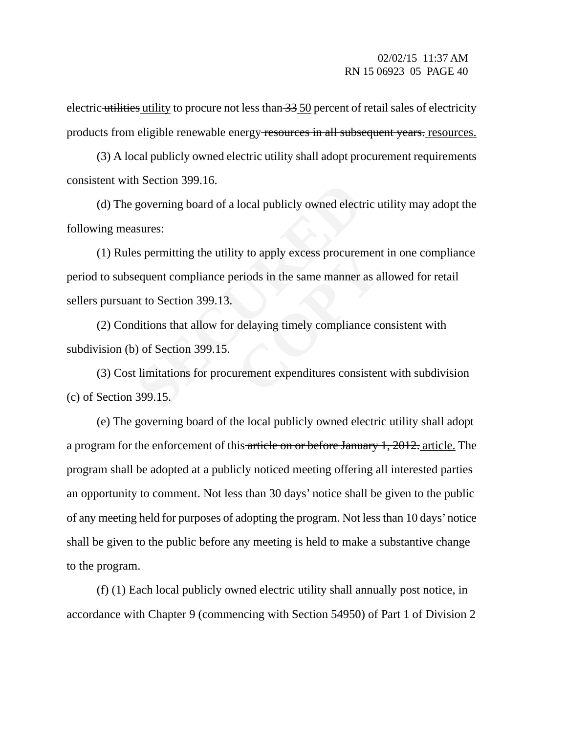electric utilities utility to procure not less than 33 50 percent of retail sales of electricity products from eligible renewable energy resources in all subsequent years. resources.

(3) A local publicly owned electric utility shall adopt procurement requirements consistent with Section 399.16.

(d) The governing board of a local publicly owned electric utility may adopt the following measures:

governing board of a local publicly owned electrosures:<br>
se permitting the utility to apply excess procuren<br>
equent compliance periods in the same manner<br>
and to Section 399.13.<br>
ditions that allow for delaying timely comp ty to apply excess procurement<br>eriods in the same manner as a<br>delaying timely compliance contract expenditures consisten (1) Rules permitting the utility to apply excess procurement in one compliance period to subsequent compliance periods in the same manner as allowed for retail sellers pursuant to Section 399.13.

(2) Conditions that allow for delaying timely compliance consistent with subdivision (b) of Section 399.15.

(3) Cost limitations for procurement expenditures consistent with subdivision (c) of Section 399.15.

(e) The governing board of the local publicly owned electric utility shall adopt a program for the enforcement of this article on or before January 1, 2012. article. The program shall be adopted at a publicly noticed meeting offering all interested parties an opportunity to comment. Not less than 30 days' notice shall be given to the public of any meeting held for purposes of adopting the program. Not less than 10 days' notice shall be given to the public before any meeting is held to make a substantive change to the program.

(f) (1) Each local publicly owned electric utility shall annually post notice, in accordance with Chapter 9 (commencing with Section 54950) of Part 1 of Division 2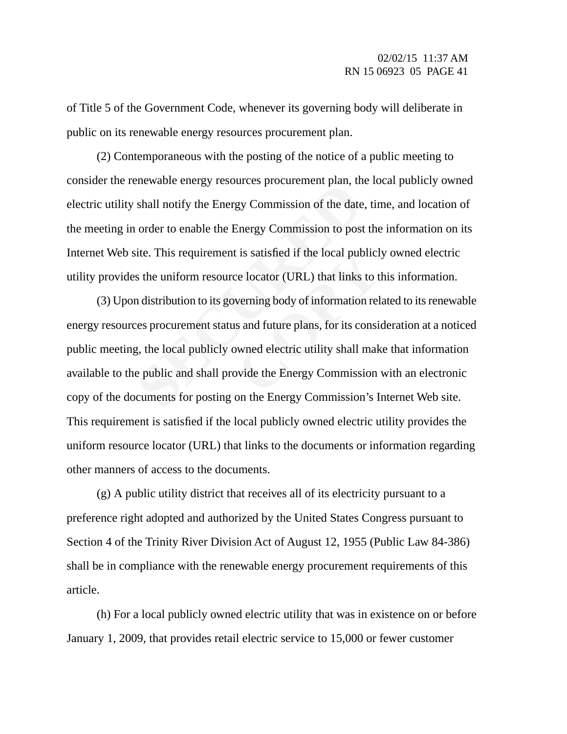of Title 5 of the Government Code, whenever its governing body will deliberate in public on its renewable energy resources procurement plan.

(2) Contemporaneous with the posting of the notice of a public meeting to consider the renewable energy resources procurement plan, the local publicly owned electric utility shall notify the Energy Commission of the date, time, and location of the meeting in order to enable the Energy Commission to post the information on its Internet Web site. This requirement is satisfied if the local publicly owned electric utility provides the uniform resource locator (URL) that links to this information.

shall notify the Energy Commission of the date<br>order to enable the Energy Commission to post<br>site. This requirement is satisfied if the local pub<br>s the uniform resource locator (URL) that links<br>n distribution to its govern It is satisfied if the local publicl<br>ce locator (URL) that links to the<br>verning body of information rel<br>s and future plans, for its consider<br>word electric utility shall make wide the Energy Commission (3) Upon distribution to its governing body of information related to its renewable energy resources procurement status and future plans, for its consideration at a noticed public meeting, the local publicly owned electric utility shall make that information available to the public and shall provide the Energy Commission with an electronic copy of the documents for posting on the Energy Commission's Internet Web site. This requirement is satisfied if the local publicly owned electric utility provides the uniform resource locator (URL) that links to the documents or information regarding other manners of access to the documents.

(g) A public utility district that receives all of its electricity pursuant to a preference right adopted and authorized by the United States Congress pursuant to Section 4 of the Trinity River Division Act of August 12, 1955 (Public Law 84-386) shall be in compliance with the renewable energy procurement requirements of this article.

(h) For a local publicly owned electric utility that was in existence on or before January 1, 2009, that provides retail electric service to 15,000 or fewer customer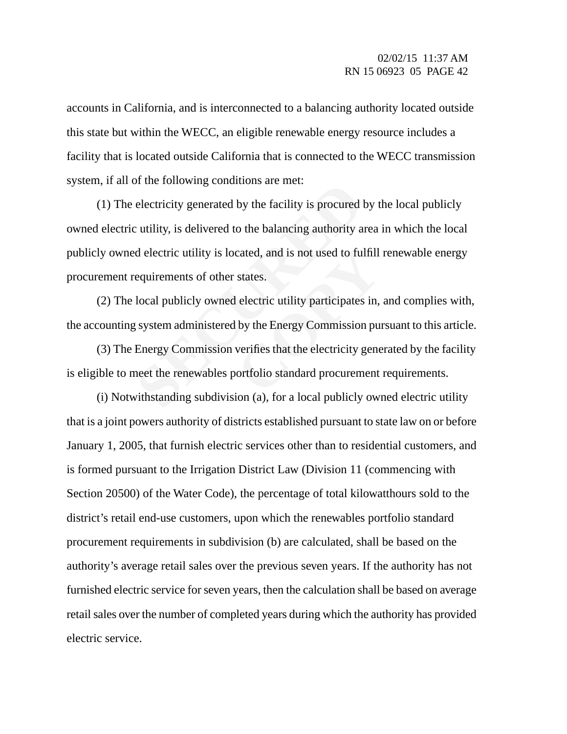accounts in California, and is interconnected to a balancing authority located outside this state but within the WECC, an eligible renewable energy resource includes a facility that is located outside California that is connected to the WECC transmission system, if all of the following conditions are met:

or the following conditions are filed.<br>
Electricity generated by the facility is procured leveratively a<br>
delectric utility is located, and is not used to full<br>
equirements of other states.<br>
Iocal publicly owned electric u (1) The electricity generated by the facility is procured by the local publicly owned electric utility, is delivered to the balancing authority area in which the local publicly owned electric utility is located, and is not used to fulfill renewable energy procurement requirements of other states.

(2) The local publicly owned electric utility participates in, and complies with, the accounting system administered by the Energy Commission pursuant to this article.

cated, and is not used to fulfill<br>states.<br>Lelectric utility participates in,<br>by the Energy Commission pure<br>verifies that the electricity generation of the standard procurement (3) The Energy Commission verifies that the electricity generated by the facility is eligible to meet the renewables portfolio standard procurement requirements.

(i) Notwithstanding subdivision (a), for a local publicly owned electric utility that is a joint powers authority of districts established pursuant to state law on or before January 1, 2005, that furnish electric services other than to residential customers, and is formed pursuant to the Irrigation District Law (Division 11 (commencing with Section 20500) of the Water Code), the percentage of total kilowatthours sold to the district's retail end-use customers, upon which the renewables portfolio standard procurement requirements in subdivision (b) are calculated, shall be based on the authority's average retail sales over the previous seven years. If the authority has not furnished electric service for seven years, then the calculation shall be based on average retail sales over the number of completed years during which the authority has provided electric service.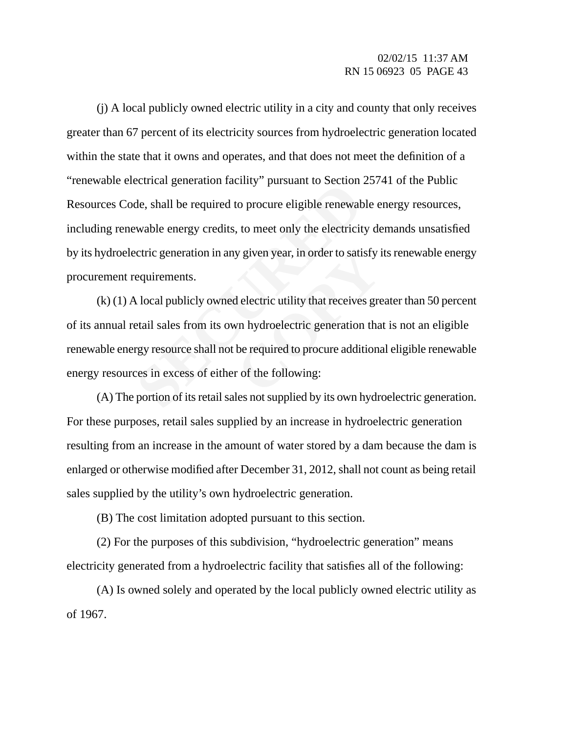Exercical generation factive pursuant to section.<br>de, shall be required to procure eligible renewab<br>wable energy credits, to meet only the electricit<br>ectric generation in any given year, in order to satial<br>equirements.<br>A (j) A local publicly owned electric utility in a city and county that only receives greater than 67 percent of its electricity sources from hydroelectric generation located within the state that it owns and operates, and that does not meet the definition of a "renewable electrical generation facility" pursuant to Section 25741 of the Public Resources Code, shall be required to procure eligible renewable energy resources, including renewable energy credits, to meet only the electricity demands unsatisfied by its hydroelectric generation in any given year, in order to satisfy its renewable energy procurement requirements.

by given year, in order to satisfy if<br>delectric utility that receives green<br>which hydroelectric generation than<br>be required to procure additions<br>or of the following: (k) (1) A local publicly owned electric utility that receives greater than 50 percent of its annual retail sales from its own hydroelectric generation that is not an eligible renewable energy resource shall not be required to procure additional eligible renewable energy resources in excess of either of the following:

(A) The portion of its retail sales not supplied by its own hydroelectric generation. For these purposes, retail sales supplied by an increase in hydroelectric generation resulting from an increase in the amount of water stored by a dam because the dam is enlarged or otherwise modified after December 31, 2012, shall not count as being retail sales supplied by the utility's own hydroelectric generation.

(B) The cost limitation adopted pursuant to this section.

(2) For the purposes of this subdivision, "hydroelectric generation" means electricity generated from a hydroelectric facility that satisfies all of the following:

(A) Is owned solely and operated by the local publicly owned electric utility as of 1967.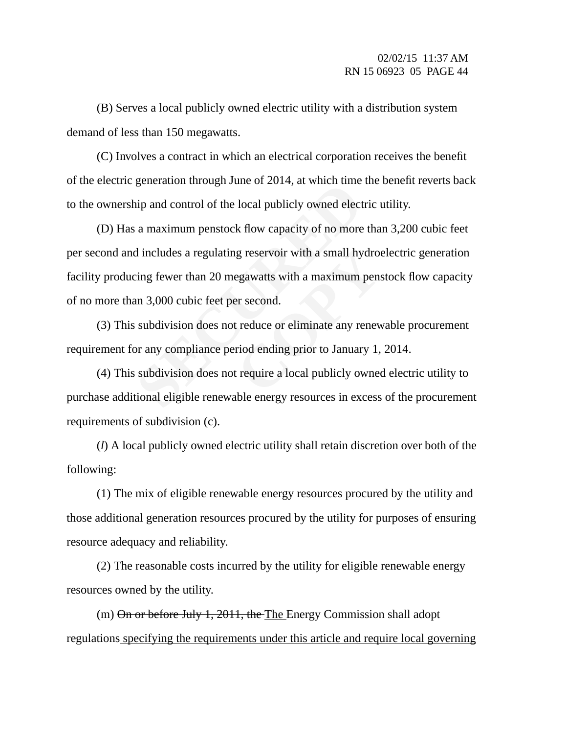(B) Serves a local publicly owned electric utility with a distribution system demand of less than 150 megawatts.

(C) Involves a contract in which an electrical corporation receives the benefit of the electric generation through June of 2014, at which time the benefit reverts back to the ownership and control of the local publicly owned electric utility.

generation unough June of 2014, at which time<br>hip and control of the local publicly owned elect<br>a maximum penstock flow capacity of no more<br>d includes a regulating reservoir with a small hy<br>cing fewer than 20 megawatts wit g reservoir with a small hydro<br>egawatts with a maximum pens<br>er second.<br>t reduce or eliminate any renew<br>riod ending prior to January 1,<br>t require a local publicly owned (D) Has a maximum penstock flow capacity of no more than 3,200 cubic feet per second and includes a regulating reservoir with a small hydroelectric generation facility producing fewer than 20 megawatts with a maximum penstock flow capacity of no more than 3,000 cubic feet per second.

(3) This subdivision does not reduce or eliminate any renewable procurement requirement for any compliance period ending prior to January 1, 2014.

(4) This subdivision does not require a local publicly owned electric utility to purchase additional eligible renewable energy resources in excess of the procurement requirements of subdivision (c).

(*l*) A local publicly owned electric utility shall retain discretion over both of the following:

(1) The mix of eligible renewable energy resources procured by the utility and those additional generation resources procured by the utility for purposes of ensuring resource adequacy and reliability.

(2) The reasonable costs incurred by the utility for eligible renewable energy resources owned by the utility.

(m) On or before July 1, 2011, the The Energy Commission shall adopt regulations specifying the requirements under this article and require local governing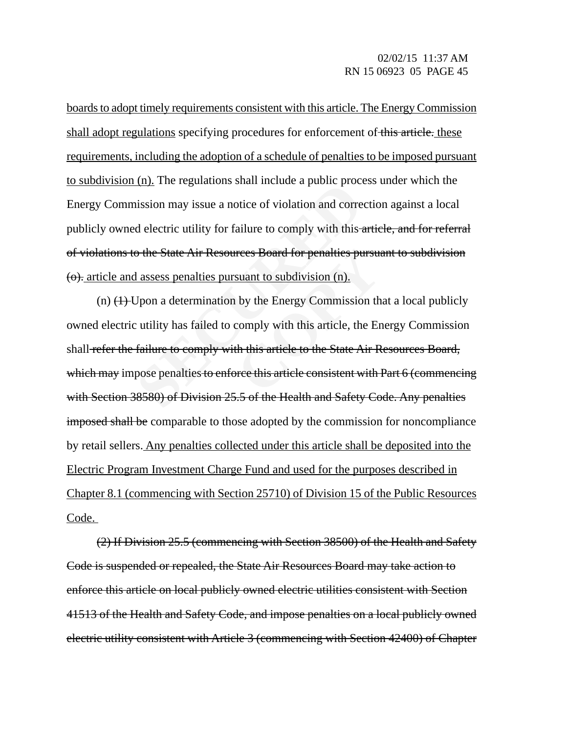boards to adopt timely requirements consistent with this article. The Energy Commission shall adopt regulations specifying procedures for enforcement of this article. these requirements, including the adoption of a schedule of penalties to be imposed pursuant to subdivision (n). The regulations shall include a public process under which the Energy Commission may issue a notice of violation and correction against a local publicly owned electric utility for failure to comply with this article, and for referral of violations to the State Air Resources Board for penalties pursuant to subdivision  $\left( \Theta \right)$  article and assess penalties pursuant to subdivision (n).

(II). The regulations shart include a public process ission may issue a notice of violation and corred electric utility for failure to comply with this-<br> **SECURED** of the State Air Resources Board for penalties pu<br> **SECURE** rees Board for penalties pursus<br>
suant to subdivision (n).<br>
by the Energy Commission th<br>
comply with this article, the Er<br>
th this article to the State Air R<br>
pree this article consistent with l (n)  $(1)$  Upon a determination by the Energy Commission that a local publicly owned electric utility has failed to comply with this article, the Energy Commission shall refer the failure to comply with this article to the State Air Resources Board, which may impose penalties to enforce this article consistent with Part 6 (commencing with Section 38580) of Division 25.5 of the Health and Safety Code. Any penalties imposed shall be comparable to those adopted by the commission for noncompliance by retail sellers. Any penalties collected under this article shall be deposited into the Electric Program Investment Charge Fund and used for the purposes described in Chapter 8.1 (commencing with Section 25710) of Division 15 of the Public Resources Code.

(2) If Division 25.5 (commencing with Section 38500) of the Health and Safety Code is suspended or repealed, the State Air Resources Board may take action to enforce this article on local publicly owned electric utilities consistent with Section 41513 of the Health and Safety Code, and impose penalties on a local publicly owned electric utility consistent with Article 3 (commencing with Section 42400) of Chapter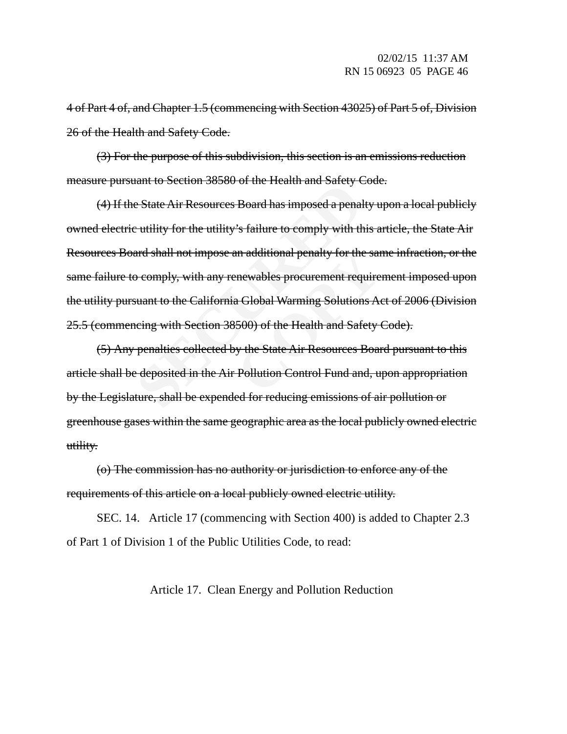4 of Part 4 of, and Chapter 1.5 (commencing with Section 43025) of Part 5 of, Division 26 of the Health and Safety Code.

(3) For the purpose of this subdivision, this section is an emissions reduction measure pursuant to Section 38580 of the Health and Safety Code.

Exam to section 38380 of the Health and safety C<br>
Exam to section 38380 of the Health and safety C<br>
Example 2 utility for the utility's failure to comply with the<br>
ard shall not impose an additional penalty for the<br>
3 comp **Example 18 Analy School Star Additional penalty for the same<br>
<b>COPY ASSES ASSESS ASSESS ASSESS ASSESS ASSESS ASSESS ASSESS ASSESS ASSESS ASSESS ASSESS ASSESS ASSESS ASSESS ASSESS AN<br>
<b>COPY THE State Air Resources Boar**<br> (4) If the State Air Resources Board has imposed a penalty upon a local publicly owned electric utility for the utility's failure to comply with this article, the State Air Resources Board shall not impose an additional penalty for the same infraction, or the same failure to comply, with any renewables procurement requirement imposed upon the utility pursuant to the California Global Warming Solutions Act of 2006 (Division 25.5 (commencing with Section 38500) of the Health and Safety Code).

(5) Any penalties collected by the State Air Resources Board pursuant to this article shall be deposited in the Air Pollution Control Fund and, upon appropriation by the Legislature, shall be expended for reducing emissions of air pollution or greenhouse gases within the same geographic area as the local publicly owned electric utility.

(o) The commission has no authority or jurisdiction to enforce any of the requirements of this article on a local publicly owned electric utility.

SEC. 14. Article 17 (commencing with Section 400) is added to Chapter 2.3 of Part 1 of Division 1 of the Public Utilities Code, to read:

Article 17. Clean Energy and Pollution Reduction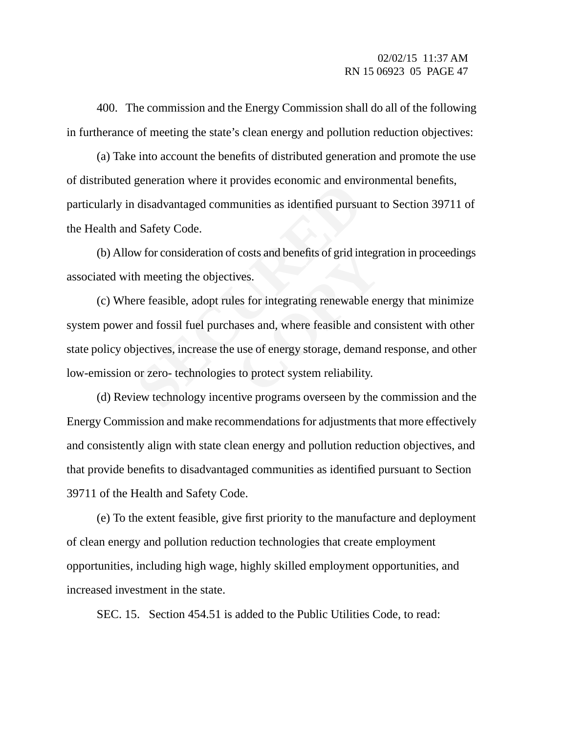400. The commission and the Energy Commission shall do all of the following in furtherance of meeting the state's clean energy and pollution reduction objectives:

(a) Take into account the benefits of distributed generation and promote the use of distributed generation where it provides economic and environmental benefits, particularly in disadvantaged communities as identified pursuant to Section 39711 of the Health and Safety Code.

(b) Allow for consideration of costs and benefits of grid integration in proceedings associated with meeting the objectives.

generation where it provides economic and envides<br>disadvantaged communities as identified pursual<br>1 Safety Code.<br>w for consideration of costs and benefits of grid in<br>h meeting the objectives.<br>re feasible, adopt rules for i COST STATE TO STATE THE COSTS and benefits of grid integr<br>
ves.<br>
es for integrating renewable en<br>
ases and, where feasible and co<br>
use of energy storage, demand<br>
to protect system reliability. (c) Where feasible, adopt rules for integrating renewable energy that minimize system power and fossil fuel purchases and, where feasible and consistent with other state policy objectives, increase the use of energy storage, demand response, and other low-emission or zero- technologies to protect system reliability.

(d) Review technology incentive programs overseen by the commission and the Energy Commission and make recommendations for adjustments that more effectively and consistently align with state clean energy and pollution reduction objectives, and that provide benefits to disadvantaged communities as identified pursuant to Section 39711 of the Health and Safety Code.

(e) To the extent feasible, give first priority to the manufacture and deployment of clean energy and pollution reduction technologies that create employment opportunities, including high wage, highly skilled employment opportunities, and increased investment in the state.

SEC. 15. Section 454.51 is added to the Public Utilities Code, to read: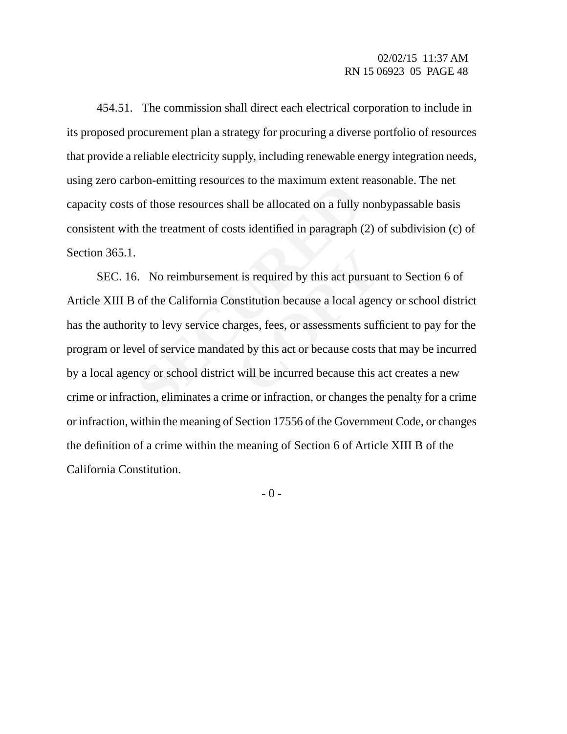454.51. The commission shall direct each electrical corporation to include in its proposed procurement plan a strategy for procuring a diverse portfolio of resources that provide a reliable electricity supply, including renewable energy integration needs, using zero carbon-emitting resources to the maximum extent reasonable. The net capacity costs of those resources shall be allocated on a fully nonbypassable basis consistent with the treatment of costs identified in paragraph (2) of subdivision (c) of Section 365.1.

Finally allocated on a fully is<br>obn-emiting resources to the maximum extent of<br>those resources shall be allocated on a fully if<br>the treatment of costs identified in paragraph (<br>.<br>.<br>.<br>.<br>No reimbursement is required by this t is required by this act pursual<br>mstitution because a local agen<br>arges, fees, or assessments suff<br>ed by this act or because costs t<br>will be incurred because this a SEC. 16. No reimbursement is required by this act pursuant to Section 6 of Article XIII B of the California Constitution because a local agency or school district has the authority to levy service charges, fees, or assessments sufficient to pay for the program or level of service mandated by this act or because costs that may be incurred by a local agency or school district will be incurred because this act creates a new crime or infraction, eliminates a crime or infraction, or changes the penalty for a crime or infraction, within the meaning of Section 17556 of the Government Code, or changes the definition of a crime within the meaning of Section 6 of Article XIII B of the California Constitution.

 $- 0 -$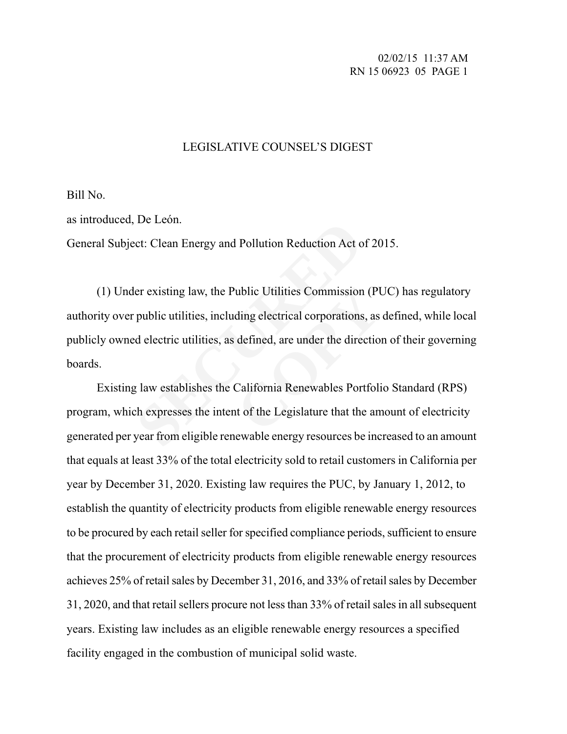## LEGISLATIVE COUNSEL'S DIGEST

Bill No.

as introduced, De León.

General Subject: Clean Energy and Pollution Reduction Act of 2015.

Execution Reduction Act of<br>
SECURE THE CONDUCT THE CONDUCT CONDUCT CONDUCT CONDUCT THE EXECUTION PUBLIC UTILE<br>
SECUTE: UTILITIES, as defined, are under the direct<br>
SECURE 2 Jaw establishes the California Renewables Port<br>
S ublic Utilities Commission (PU<br>ding electrical corporations, as<br>defined, are under the direction<br>California Renewables Portfolint<br>of the Legislature that the am (1) Under existing law, the Public Utilities Commission (PUC) has regulatory authority over public utilities, including electrical corporations, as defined, while local publicly owned electric utilities, as defined, are under the direction of their governing boards.

Existing law establishes the California Renewables Portfolio Standard (RPS) program, which expresses the intent of the Legislature that the amount of electricity generated per year from eligible renewable energy resources be increased to an amount that equals at least 33% of the total electricity sold to retail customers in California per year by December 31, 2020. Existing law requires the PUC, by January 1, 2012, to establish the quantity of electricity products from eligible renewable energy resources to be procured by each retail seller for specified compliance periods, sufficient to ensure that the procurement of electricity products from eligible renewable energy resources achieves 25% of retail sales by December 31, 2016, and 33% of retail sales by December 31, 2020, and that retail sellers procure not less than 33% of retail sales in all subsequent years. Existing law includes as an eligible renewable energy resources a specified facility engaged in the combustion of municipal solid waste.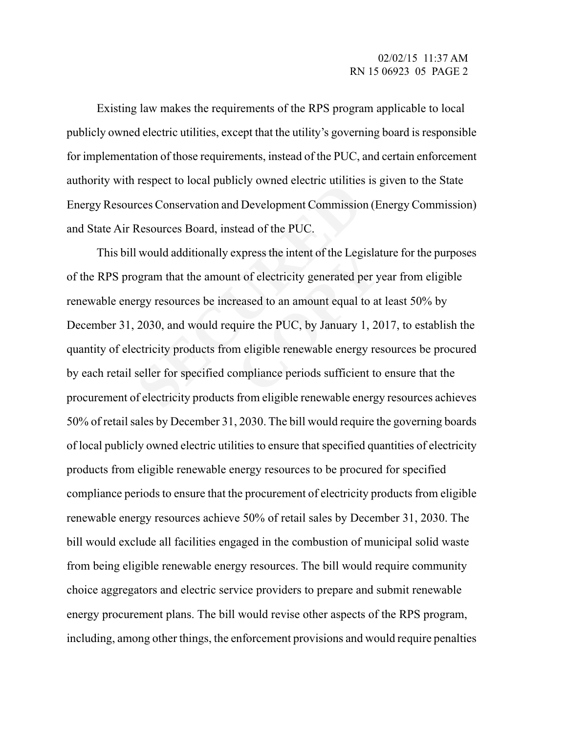Existing law makes the requirements of the RPS program applicable to local publicly owned electric utilities, except that the utility's governing board is responsible for implementation of those requirements, instead of the PUC, and certain enforcement authority with respect to local publicly owned electric utilities is given to the State Energy Resources Conservation and Development Commission (Energy Commission) and State Air Resources Board, instead of the PUC.

respect to local publicly owned electric utilities<br>rees Conservation and Development Commission<br>Resources Board, instead of the PUC.<br>I would additionally express the intent of the Leg<br>ogram that the amount of electricity g xpress the intent of the Legislat<br>to the dectricity generated per y<br>reased to an amount equal to at<br>quire the PUC, by January 1, 20<br>m eligible renewable energy responsioned in the synthetic sufficient to This bill would additionally express the intent of the Legislature for the purposes of the RPS program that the amount of electricity generated per year from eligible renewable energy resources be increased to an amount equal to at least 50% by December 31, 2030, and would require the PUC, by January 1, 2017, to establish the quantity of electricity products from eligible renewable energy resources be procured by each retail seller for specified compliance periods sufficient to ensure that the procurement of electricity products from eligible renewable energy resources achieves 50% of retail sales by December 31, 2030. The bill would require the governing boards of local publicly owned electric utilities to ensure that specified quantities of electricity products from eligible renewable energy resources to be procured for specified compliance periods to ensure that the procurement of electricity products from eligible renewable energy resources achieve 50% of retail sales by December 31, 2030. The bill would exclude all facilities engaged in the combustion of municipal solid waste from being eligible renewable energy resources. The bill would require community choice aggregators and electric service providers to prepare and submit renewable energy procurement plans. The bill would revise other aspects of the RPS program, including, among other things, the enforcement provisions and would require penalties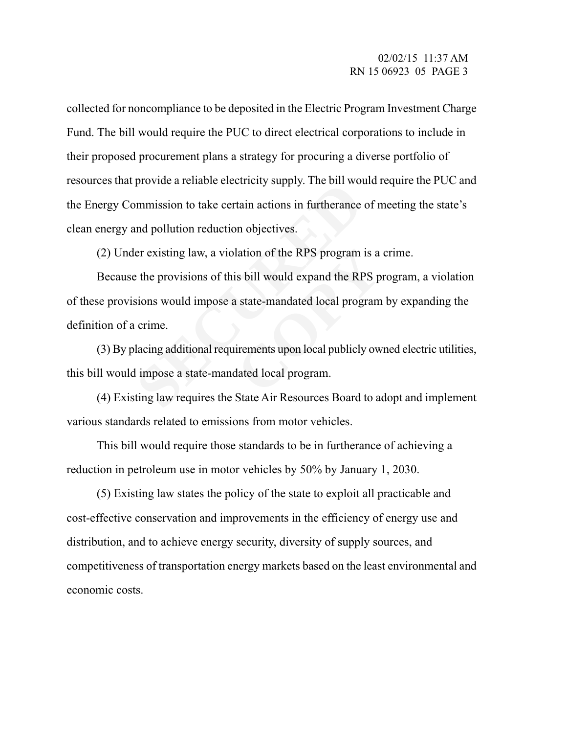collected for noncompliance to be deposited in the Electric Program Investment Charge Fund. The bill would require the PUC to direct electrical corporations to include in their proposed procurement plans a strategy for procuring a diverse portfolio of resources that provide a reliable electricity supply. The bill would require the PUC and the Energy Commission to take certain actions in furtherance of meeting the state's clean energy and pollution reduction objectives.

(2) Under existing law, a violation of the RPS program is a crime.

provide a renable electricity supply. The bill woord<br>mumission to take certain actions in furtherance<br>and pollution reduction objectives.<br>Free existing law, a violation of the RPS program<br>e the provisions of this bill woul lation of the RPS program is a<br>is bill would expand the RPS p<br>a state-mandated local program<br>irements upon local publicly ow<br>dated local program. Because the provisions of this bill would expand the RPS program, a violation of these provisions would impose a state-mandated local program by expanding the definition of a crime.

(3) By placing additional requirements upon local publicly owned electric utilities, this bill would impose a state-mandated local program.

(4) Existing law requires the State Air Resources Board to adopt and implement various standards related to emissions from motor vehicles.

This bill would require those standards to be in furtherance of achieving a reduction in petroleum use in motor vehicles by 50% by January 1, 2030.

(5) Existing law states the policy of the state to exploit all practicable and cost-effective conservation and improvements in the efficiency of energy use and distribution, and to achieve energy security, diversity of supply sources, and competitiveness of transportation energy markets based on the least environmental and economic costs.